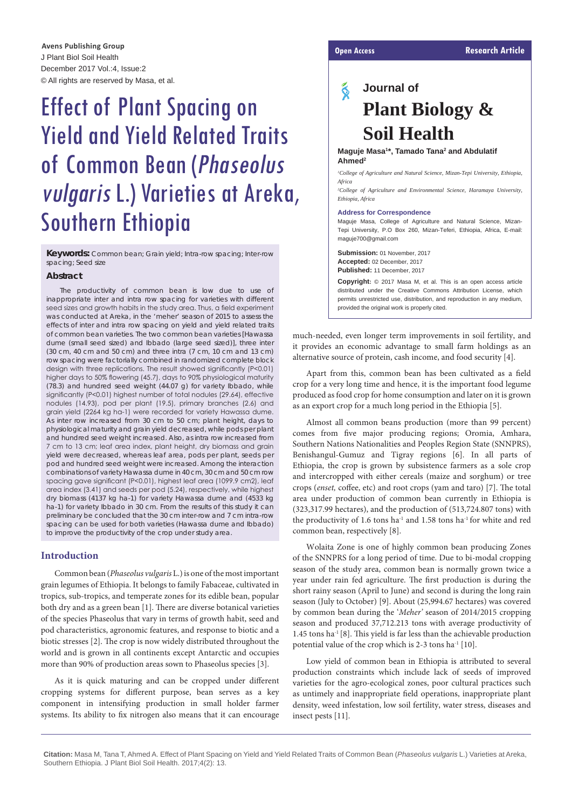J Plant Biol Soil Health December 2017 Vol.:4, Issue:2 © All rights are reserved by Masa, et al. **Open Access Research Article Avens Publishing Group**

# Effect of Plant Spacing on Yield and Yield Related Traits of Common Bean (Phaseolus vulgaris L.) Varieties at Areka, Southern Ethiopia

**Keywords:** Common bean; Grain yield; Intra-row spacing; Inter-row spacing; Seed size

#### **Abstract**

The productivity of common bean is low due to use of inappropriate inter and intra row spacing for varieties with different seed sizes and growth habits in the study area. Thus, a field experiment was conducted at Areka, in the 'meher' season of 2015 to assess the effects of inter and intra row spacing on yield and yield related traits of common bean varieties. The two common bean varieties [Hawassa dume (small seed sized) and Ibbado (large seed sized)], three inter (30 cm, 40 cm and 50 cm) and three intra (7 cm, 10 cm and 13 cm) row spacing were factorially combined in randomized complete block design with three replications. The result showed significantly (P<0.01) higher days to 50% flowering (45.7), days to 90% physiological maturity (78.3) and hundred seed weight (44.07 g) for variety Ibbado, while significantly (P<0.01) highest number of total nodules (29.64), effective nodules (14.93), pod per plant (19.5), primary branches (2.6) and grain yield (2264 kg ha-1) were recorded for variety Hawassa dume. As inter row increased from 30 cm to 50 cm; plant height, days to physiological maturity and grain yield decreased, while pods per plant and hundred seed weight increased. Also, as intra row increased from 7 cm to 13 cm; leaf area index, plant height, dry biomass and grain yield were decreased, whereas leaf area, pods per plant, seeds per pod and hundred seed weight were increased. Among the interaction combinations of variety Hawassa dume in 40 cm, 30 cm and 50 cm row spacing gave significant (P<0.01), highest leaf area (1099.9 cm2), leaf area index (3.41) and seeds per pod (5.24), respectively, while highest dry biomass (4137 kg ha-1) for variety Hawassa dume and (4533 kg ha-1) for variety Ibbado in 30 cm. From the results of this study it can preliminary be concluded that the 30 cm inter-row and 7 cm intra-row spacing can be used for both varieties (Hawassa dume and Ibbado) to improve the productivity of the crop under study area.

#### **Introduction**

Common bean (*Phaseolus vulgaris* L.) is one of the most important grain legumes of Ethiopia. It belongs to family Fabaceae, cultivated in tropics, sub-tropics, and temperate zones for its edible bean, popular both dry and as a green bean [1]. There are diverse botanical varieties of the species Phaseolus that vary in terms of growth habit, seed and pod characteristics, agronomic features, and response to biotic and a biotic stresses [2]. The crop is now widely distributed throughout the world and is grown in all continents except Antarctic and occupies more than 90% of production areas sown to Phaseolus species [3].

As it is quick maturing and can be cropped under different cropping systems for different purpose, bean serves as a key component in intensifying production in small holder farmer systems. Its ability to fix nitrogen also means that it can encourage

## ୡ **Journal of Plant Biology & Soil Health**

#### **Maguje Masa1 \*, Tamado Tana2 and Abdulatif Ahmed2**

<sup>1</sup> College of Agriculture and Natural Science, Mizan-Tepi University, Ethiopia, *Africa*

*2 College of Agriculture and Environmental Science, Haramaya University, Ethiopia, Africa*

#### **Address for Correspondence**

Maguje Masa, College of Agriculture and Natural Science, Mizan-Tepi University, P.O Box 260, Mizan-Teferi, Ethiopia, Africa, E-mail: [maguje700@gmail.com](mailto:maguje700@gmail.com)

**Submission:** 01 November, 2017 **Accepted:** 02 December, 2017 **Published:** 11 December, 2017

**Copyright:** © 2017 Masa M, et al. This is an open access article distributed under the Creative Commons Attribution License, which permits unrestricted use, distribution, and reproduction in any medium, provided the original work is properly cited.

much-needed, even longer term improvements in soil fertility, and it provides an economic advantage to small farm holdings as an alternative source of protein, cash income, and food security [4].

Apart from this, common bean has been cultivated as a field crop for a very long time and hence, it is the important food legume produced as food crop for home consumption and later on it is grown as an export crop for a much long period in the Ethiopia [5].

Almost all common beans production (more than 99 percent) comes from five major producing regions; Oromia, Amhara, Southern Nations Nationalities and Peoples Region State (SNNPRS), Benishangul-Gumuz and Tigray regions [6]. In all parts of Ethiopia, the crop is grown by subsistence farmers as a sole crop and intercropped with either cereals (maize and sorghum) or tree crops (*enset,* coffee, etc) and root crops (yam and taro) [7]. The total area under production of common bean currently in Ethiopia is (323,317.99 hectares), and the production of (513,724.807 tons) with the productivity of 1.6 tons ha<sup>-1</sup> and 1.58 tons ha<sup>-1</sup> for white and red common bean, respectively [8].

Wolaita Zone is one of highly common bean producing Zones of the SNNPRS for a long period of time. Due to bi-modal cropping season of the study area, common bean is normally grown twice a year under rain fed agriculture. The first production is during the short rainy season (April to June) and second is during the long rain season (July to October) [9]. About (25,994.67 hectares) was covered by common bean during the '*Meher'* season of 2014/2015 cropping season and produced 37,712.213 tons with average productivity of  $1.45$  tons ha<sup>-1</sup> [8]. This yield is far less than the achievable production potential value of the crop which is 2-3 tons ha<sup>-1</sup> [10].

Low yield of common bean in Ethiopia is attributed to several production constraints which include lack of seeds of improved varieties for the agro-ecological zones, poor cultural practices such as untimely and inappropriate field operations, inappropriate plant density, weed infestation, low soil fertility, water stress, diseases and insect pests [11].

**Citation:** Masa M, Tana T, Ahmed A. Effect of Plant Spacing on Yield and Yield Related Traits of Common Bean (*Phaseolus vulgaris* L.) Varieties at Areka, Southern Ethiopia. J Plant Biol Soil Health. 2017;4(2): 13.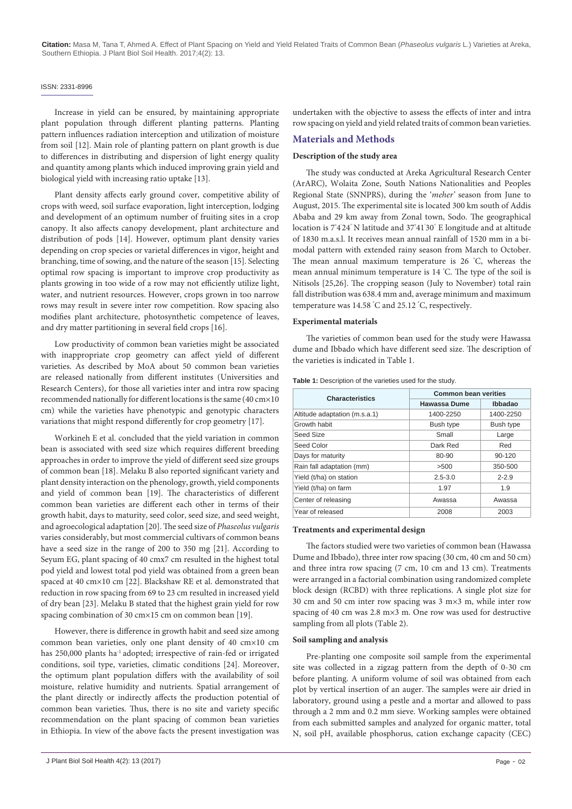#### ISSN: 2331-8996

Increase in yield can be ensured, by maintaining appropriate plant population through different planting patterns. Planting pattern influences radiation interception and utilization of moisture from soil [12]. Main role of planting pattern on plant growth is due to differences in distributing and dispersion of light energy quality and quantity among plants which induced improving grain yield and biological yield with increasing ratio uptake [13].

Plant density affects early ground cover, competitive ability of crops with weed, soil surface evaporation, light interception, lodging and development of an optimum number of fruiting sites in a crop canopy. It also affects canopy development, plant architecture and distribution of pods [14]. However, optimum plant density varies depending on crop species or varietal differences in vigor, height and branching, time of sowing, and the nature of the season [15]. Selecting optimal row spacing is important to improve crop productivity as plants growing in too wide of a row may not efficiently utilize light, water, and nutrient resources. However, crops grown in too narrow rows may result in severe inter row competition. Row spacing also modifies plant architecture, photosynthetic competence of leaves, and dry matter partitioning in several field crops [16].

Low productivity of common bean varieties might be associated with inappropriate crop geometry can affect yield of different varieties. As described by MoA about 50 common bean varieties are released nationally from different institutes (Universities and Research Centers), for those all varieties inter and intra row spacing recommended nationally for different locations is the same (40 cm×10 cm) while the varieties have phenotypic and genotypic characters variations that might respond differently for crop geometry [17].

Workineh E et al. concluded that the yield variation in common bean is associated with seed size which requires different breeding approaches in order to improve the yield of different seed size groups of common bean [18]. Melaku B also reported significant variety and plant density interaction on the phenology, growth, yield components and yield of common bean [19]. The characteristics of different common bean varieties are different each other in terms of their growth habit, days to maturity, seed color, seed size, and seed weight, and agroecological adaptation [20]. The seed size of *Phaseolus vulgaris*  varies considerably, but most commercial cultivars of common beans have a seed size in the range of 200 to 350 mg [21]. According to Seyum EG, plant spacing of 40 cmx7 cm resulted in the highest total pod yield and lowest total pod yield was obtained from a green bean spaced at 40 cm×10 cm [22]. Blackshaw RE et al. demonstrated that reduction in row spacing from 69 to 23 cm resulted in increased yield of dry bean [23]. Melaku B stated that the highest grain yield for row spacing combination of 30 cm×15 cm on common bean [19].

However, there is difference in growth habit and seed size among common bean varieties, only one plant density of 40 cm×10 cm has 250,000 plants ha<sup>-1</sup> adopted; irrespective of rain-fed or irrigated conditions, soil type, varieties, climatic conditions [24]. Moreover, the optimum plant population differs with the availability of soil moisture, relative humidity and nutrients. Spatial arrangement of the plant directly or indirectly affects the production potential of common bean varieties. Thus, there is no site and variety specific recommendation on the plant spacing of common bean varieties in Ethiopia. In view of the above facts the present investigation was undertaken with the objective to assess the effects of inter and intra row spacing on yield and yield related traits of common bean varieties.

#### **Materials and Methods**

### **Description of the study area**

The study was conducted at Areka Agricultural Research Center (ArARC), Wolaita Zone, South Nations Nationalities and Peoples Regional State (SNNPRS), during the '*meher'* season from June to August, 2015. The experimental site is located 300 km south of Addis Ababa and 29 km away from Zonal town, Sodo. The geographical location is  $7^{\circ}4^{\prime}24^{\prime}$  N latitude and 37 $^{\circ}41^{\prime}30^{\prime}$  E longitude and at altitude of 1830 m.a.s.l. It receives mean annual rainfall of 1520 mm in a bimodal pattern with extended rainy season from March to October. The mean annual maximum temperature is 26 ° C, whereas the mean annual minimum temperature is 14 ° C. The type of the soil is Nitisols [25,26]. The cropping season (July to November) total rain fall distribution was 638.4 mm and, average minimum and maximum temperature was 14.58 ° C and 25.12 ° C, respectively.

#### **Experimental materials**

The varieties of common bean used for the study were Hawassa dume and Ibbado which have different seed size. The description of the varieties is indicated in Table 1.

| <b>Characteristics</b>        | <b>Common bean verities</b> |            |  |  |
|-------------------------------|-----------------------------|------------|--|--|
|                               | Hawassa Dume                | Ibbadao    |  |  |
| Altitude adaptation (m.s.a.1) | 1400-2250                   | 1400-2250  |  |  |
| Growth habit                  | Bush type                   | Bush type  |  |  |
| Seed Size                     | Small                       | Large      |  |  |
| Seed Color                    | Dark Red                    | Red        |  |  |
| Days for maturity             | 80-90                       | $90 - 120$ |  |  |
| Rain fall adaptation (mm)     | >500                        | 350-500    |  |  |
| Yield (t/ha) on station       | $2.5 - 3.0$                 | $2 - 2.9$  |  |  |
| Yield (t/ha) on farm          | 1.97                        | 1.9        |  |  |
| Center of releasing           | Awassa                      | Awassa     |  |  |
| Year of released              | 2008                        | 2003       |  |  |

**Table 1:** Description of the varieties used for the study.

#### **Treatments and experimental design**

The factors studied were two varieties of common bean (Hawassa Dume and Ibbado), three inter row spacing (30 cm, 40 cm and 50 cm) and three intra row spacing (7 cm, 10 cm and 13 cm). Treatments were arranged in a factorial combination using randomized complete block design (RCBD) with three replications. A single plot size for 30 cm and 50 cm inter row spacing was 3 m×3 m, while inter row spacing of 40 cm was 2.8 m×3 m. One row was used for destructive sampling from all plots (Table 2).

#### **Soil sampling and analysis**

Pre-planting one composite soil sample from the experimental site was collected in a zigzag pattern from the depth of 0-30 cm before planting. A uniform volume of soil was obtained from each plot by vertical insertion of an auger. The samples were air dried in laboratory, ground using a pestle and a mortar and allowed to pass through a 2 mm and 0.2 mm sieve. Working samples were obtained from each submitted samples and analyzed for organic matter, total N, soil pH, available phosphorus, cation exchange capacity (CEC)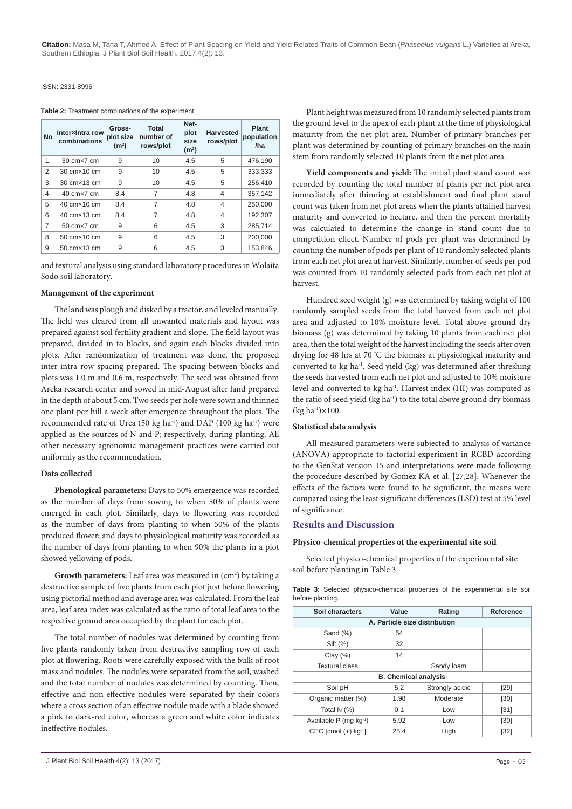#### ISSN: 2331-8996

**Table 2:** Treatment combinations of the experiment.

| <b>No</b> | Interxintra row<br>combinations     | Gross-<br>plot size<br>(m <sup>2</sup> ) | <b>Total</b><br>number of<br>rows/plot | Net-<br>plot<br>size<br>(m <sup>2</sup> ) | <b>Harvested</b><br>rows/plot | Plant<br>population<br>/ha |
|-----------|-------------------------------------|------------------------------------------|----------------------------------------|-------------------------------------------|-------------------------------|----------------------------|
| 1.        | 30 cm×7 cm                          | 9                                        | 10                                     | 4.5                                       | 5                             | 476.190                    |
| 2.        | 30 cm × 10 cm                       | 9                                        | 10                                     | 4.5                                       | 5                             | 333,333                    |
| 3.        | 30 cm × 13 cm                       | 9                                        | 10                                     | 4.5                                       | 5                             | 256,410                    |
| 4.        | $40 \text{ cm} \times 7 \text{ cm}$ | 8.4                                      | 7                                      | 4.8                                       | $\overline{4}$                | 357,142                    |
| 5.        | 40 cm×10 cm                         | 8.4                                      | 7                                      | 4.8                                       | $\overline{4}$                | 250,000                    |
| 6.        | 40 cm×13 cm                         | 8.4                                      | 7                                      | 4.8                                       | 4                             | 192,307                    |
| 7.        | $50 \text{ cm} \times 7 \text{ cm}$ | 9                                        | 6                                      | 4.5                                       | 3                             | 285.714                    |
| 8.        | 50 cm×10 cm                         | 9                                        | 6                                      | 4.5                                       | 3                             | 200.000                    |
| 9.        | 50 cm × 13 cm                       | 9                                        | 6                                      | 4.5                                       | 3                             | 153,846                    |

and textural analysis using standard laboratory procedures in Wolaita Sodo soil laboratory.

#### **Management of the experiment**

The land was plough and disked by a tractor, and leveled manually. The field was cleared from all unwanted materials and layout was prepared against soil fertility gradient and slope. The field layout was prepared, divided in to blocks, and again each blocks divided into plots. After randomization of treatment was done, the proposed inter-intra row spacing prepared. The spacing between blocks and plots was 1.0 m and 0.6 m, respectively. The seed was obtained from Areka research center and sowed in mid-August after land prepared in the depth of about 5 cm. Two seeds per hole were sown and thinned one plant per hill a week after emergence throughout the plots. The recommended rate of Urea (50 kg ha<sup>-1</sup>) and DAP (100 kg ha<sup>-1</sup>) were applied as the sources of N and P; respectively, during planting. All other necessary agronomic management practices were carried out uniformly as the recommendation.

#### **Data collected**

**Phenological parameters:** Days to 50% emergence was recorded as the number of days from sowing to when 50% of plants were emerged in each plot. Similarly, days to flowering was recorded as the number of days from planting to when 50% of the plants produced flower; and days to physiological maturity was recorded as the number of days from planting to when 90% the plants in a plot showed yellowing of pods.

**Growth parameters:** Leaf area was measured in (cm<sup>2</sup>) by taking a destructive sample of five plants from each plot just before flowering using pictorial method and average area was calculated. From the leaf area, leaf area index was calculated as the ratio of total leaf area to the respective ground area occupied by the plant for each plot.

The total number of nodules was determined by counting from five plants randomly taken from destructive sampling row of each plot at flowering. Roots were carefully exposed with the bulk of root mass and nodules. The nodules were separated from the soil, washed and the total number of nodules was determined by counting. Then, effective and non-effective nodules were separated by their colors where a cross section of an effective nodule made with a blade showed a pink to dark-red color, whereas a green and white color indicates ineffective nodules.

Plant height was measured from 10 randomly selected plants from the ground level to the apex of each plant at the time of physiological maturity from the net plot area. Number of primary branches per plant was determined by counting of primary branches on the main stem from randomly selected 10 plants from the net plot area.

**Yield components and yield:** The initial plant stand count was recorded by counting the total number of plants per net plot area immediately after thinning at establishment and final plant stand count was taken from net plot areas when the plants attained harvest maturity and converted to hectare, and then the percent mortality was calculated to determine the change in stand count due to competition effect. Number of pods per plant was determined by counting the number of pods per plant of 10 randomly selected plants from each net plot area at harvest. Similarly, number of seeds per pod was counted from 10 randomly selected pods from each net plot at harvest.

Hundred seed weight (g) was determined by taking weight of 100 randomly sampled seeds from the total harvest from each net plot area and adjusted to 10% moisture level. Total above ground dry biomass (g) was determined by taking 10 plants from each net plot area, then the total weight of the harvest including the seeds after oven drying for 48 hrs at 70 ° C the biomass at physiological maturity and converted to kg ha-1. Seed yield (kg) was determined after threshing the seeds harvested from each net plot and adjusted to 10% moisture level and converted to kg ha<sup>-1</sup>. Harvest index (HI) was computed as the ratio of seed yield (kg ha<sup>-1</sup>) to the total above ground dry biomass  $(kg ha^{-1}) \times 100$ .

#### **Statistical data analysis**

All measured parameters were subjected to analysis of variance (ANOVA) appropriate to factorial experiment in RCBD according to the GenStat version 15 and interpretations were made following the procedure described by Gomez KA et al. [27,28]. Whenever the effects of the factors were found to be significant, the means were compared using the least significant differences (LSD) test at 5% level of significance.

#### **Results and Discussion**

#### **Physico-chemical properties of the experimental site soil**

Selected physico-chemical properties of the experimental site soil before planting in Table 3.

|                  |  | <b>Table 3:</b> Selected physico-chemical properties of the experimental site soil |  |  |  |
|------------------|--|------------------------------------------------------------------------------------|--|--|--|
| before planting. |  |                                                                                    |  |  |  |

| Soil characters                      | Value                       | Rating          | Reference |  |  |  |
|--------------------------------------|-----------------------------|-----------------|-----------|--|--|--|
| A. Particle size distribution        |                             |                 |           |  |  |  |
| Sand (%)                             | 54                          |                 |           |  |  |  |
| Silt (%)                             | 32                          |                 |           |  |  |  |
| Clay $(\%)$                          | 14                          |                 |           |  |  |  |
| <b>Textural class</b>                |                             | Sandy loam      |           |  |  |  |
|                                      | <b>B. Chemical analysis</b> |                 |           |  |  |  |
| Soil pH                              | 5.2                         | Strongly acidic | [29]      |  |  |  |
| Organic matter (%)                   | 1.98                        | Moderate        | [30]      |  |  |  |
| Total N $(%)$                        | 0.1                         | Low             | $[31]$    |  |  |  |
| Available $P$ (mg kg <sup>-1</sup> ) | 5.92                        | Low             | [30]      |  |  |  |
| CEC [cmol $(+)$ kg <sup>-1</sup> ]   | 25.4                        | High            | $[32]$    |  |  |  |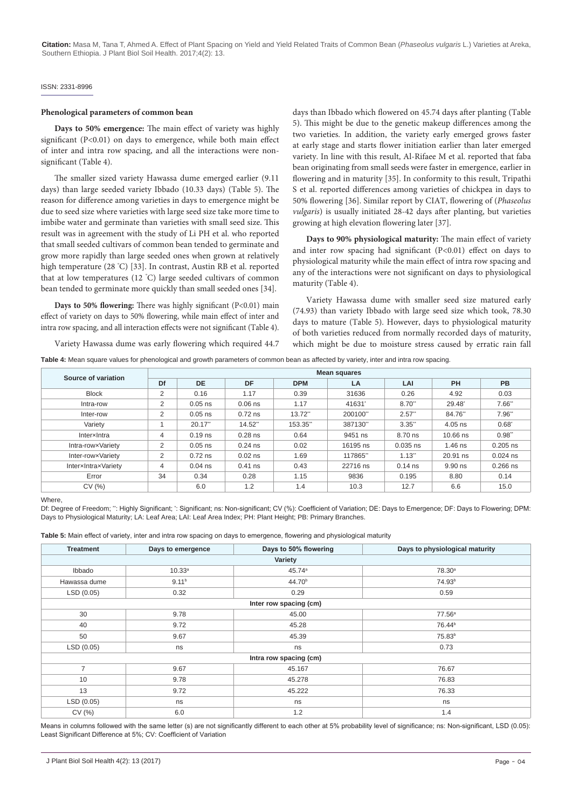#### ISSN: 2331-8996

#### **Phenological parameters of common bean**

**Days to 50% emergence:** The main effect of variety was highly significant (P<0.01) on days to emergence, while both main effect of inter and intra row spacing, and all the interactions were nonsignificant (Table 4).

The smaller sized variety Hawassa dume emerged earlier (9.11 days) than large seeded variety Ibbado (10.33 days) (Table 5). The reason for difference among varieties in days to emergence might be due to seed size where varieties with large seed size take more time to imbibe water and germinate than varieties with small seed size. This result was in agreement with the study of Li PH et al. who reported that small seeded cultivars of common bean tended to germinate and grow more rapidly than large seeded ones when grown at relatively high temperature (28 ° C) [33]. In contrast, Austin RB et al. reported that at low temperatures (12 ° C) large seeded cultivars of common bean tended to germinate more quickly than small seeded ones [34].

**Days to 50% flowering:** There was highly significant (P<0.01) main effect of variety on days to 50% flowering, while main effect of inter and intra row spacing, and all interaction effects were not significant (Table 4).

Variety Hawassa dume was early flowering which required 44.7

days than Ibbado which flowered on 45.74 days after planting (Table 5). This might be due to the genetic makeup differences among the two varieties. In addition, the variety early emerged grows faster at early stage and starts flower initiation earlier than later emerged variety. In line with this result, Al-Rifaee M et al. reported that faba bean originating from small seeds were faster in emergence, earlier in flowering and in maturity [35]. In conformity to this result, Tripathi S et al. reported differences among varieties of chickpea in days to 50% flowering [36]. Similar report by CIAT, flowering of (*Phaseolus vulgaris*) is usually initiated 28-42 days after planting, but varieties growing at high elevation flowering later [37].

**Days to 90% physiological maturity:** The main effect of variety and inter row spacing had significant (P<0.01) effect on days to physiological maturity while the main effect of intra row spacing and any of the interactions were not significant on days to physiological maturity (Table 4).

Variety Hawassa dume with smaller seed size matured early (74.93) than variety Ibbado with large seed size which took, 78.30 days to mature (Table 5). However, days to physiological maturity of both varieties reduced from normally recorded days of maturity, which might be due to moisture stress caused by erratic rain fall

**Table 4:** Mean square values for phenological and growth parameters of common bean as affected by variety, inter and intra row spacing.

| Source of variation | <b>Mean squares</b> |           |           |            |          |            |            |                  |
|---------------------|---------------------|-----------|-----------|------------|----------|------------|------------|------------------|
|                     | Df                  | <b>DE</b> | DF        | <b>DPM</b> | LA       | LAI        | PH         | PB               |
| <b>Block</b>        | 2                   | 0.16      | 1.17      | 0.39       | 31636    | 0.26       | 4.92       | 0.03             |
| Intra-row           | 2                   | $0.05$ ns | $0.06$ ns | 1.17       | 41631    | $8.70$ "   | 29.48      | 7.66"            |
| Inter-row           | 2                   | $0.05$ ns | $0.72$ ns | $13.72$ "  | 200100"  | 2.57"      | 84.76"     | 7.96"            |
| Variety             |                     | 20.17"    | 14.52     | 153.35     | 387130   | $3.35$ "   | $4.05$ ns  | $0.68^{\degree}$ |
| InterxIntra         | 4                   | $0.19$ ns | $0.28$ ns | 0.64       | 9451 ns  | 8.70 ns    | $10.66$ ns | 0.98"            |
| Intra-rowxVariety   | 2                   | $0.05$ ns | $0.24$ ns | 0.02       | 16195 ns | $0.035$ ns | $1.46$ ns  | $0.205$ ns       |
| Inter-rowxVariety   | 2                   | $0.72$ ns | $0.02$ ns | 1.69       | 117865"  | $1.13$ "   | 20.91 ns   | $0.024$ ns       |
| InterxIntraxVariety | 4                   | $0.04$ ns | $0.41$ ns | 0.43       | 22716 ns | $0.14$ ns  | 9.90 ns    | $0.266$ ns       |
| Error               | 34                  | 0.34      | 0.28      | 1.15       | 9836     | 0.195      | 8.80       | 0.14             |
| CV(%)               |                     | 6.0       | 1.2       | 1.4        | 10.3     | 12.7       | 6.6        | 15.0             |

#### Where,

Df: Degree of Freedom; ": Highly Significant; `: Significant; ns: Non-significant; CV (%): Coefficient of Variation; DE: Days to Emergence; DF: Days to Flowering; DPM: Days to Physiological Maturity; LA: Leaf Area; LAI: Leaf Area Index; PH: Plant Height; PB: Primary Branches.

**Table 5:** Main effect of variety, inter and intra row spacing on days to emergence, flowering and physiological maturity

| <b>Treatment</b> | Days to emergence      | Days to 50% flowering  | Days to physiological maturity |  |  |  |  |  |
|------------------|------------------------|------------------------|--------------------------------|--|--|--|--|--|
|                  | Variety                |                        |                                |  |  |  |  |  |
| Ibbado           | 10.33a                 | 45.74 <sup>a</sup>     | 78.30 <sup>a</sup>             |  |  |  |  |  |
| Hawassa dume     | 9.11 <sup>b</sup>      | 44.70 <sup>b</sup>     | 74.93 <sup>b</sup>             |  |  |  |  |  |
| LSD(0.05)        | 0.32                   | 0.29                   | 0.59                           |  |  |  |  |  |
|                  | Inter row spacing (cm) |                        |                                |  |  |  |  |  |
| 30               | 9.78                   | 45.00                  | 77.56a                         |  |  |  |  |  |
| 40               | 9.72                   | 45.28                  | 76.44 <sup>b</sup>             |  |  |  |  |  |
| 50               | 9.67                   | 45.39                  | 75.83 <sup>b</sup>             |  |  |  |  |  |
| LSD(0.05)        | ns                     | ns                     | 0.73                           |  |  |  |  |  |
|                  |                        | Intra row spacing (cm) |                                |  |  |  |  |  |
| $\overline{7}$   | 9.67                   | 45.167                 | 76.67                          |  |  |  |  |  |
| 10               | 9.78                   | 45.278                 | 76.83                          |  |  |  |  |  |
| 13               | 9.72                   | 45.222                 | 76.33                          |  |  |  |  |  |
| LSD(0.05)        | ns                     | ns                     | ns                             |  |  |  |  |  |
| CV(%)            | 6.0                    | 1.2                    | 1.4                            |  |  |  |  |  |

Means in columns followed with the same letter (s) are not significantly different to each other at 5% probability level of significance; ns: Non-significant, LSD (0.05): Least Significant Difference at 5%; CV: Coefficient of Variation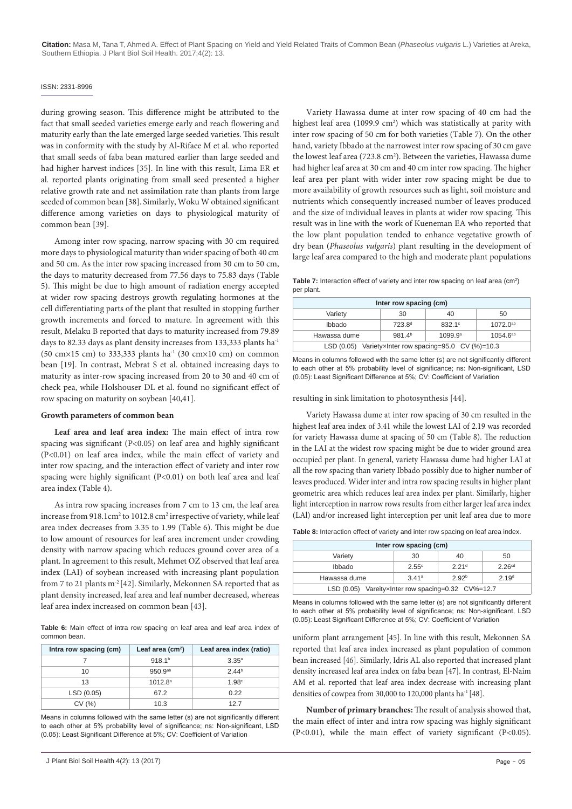#### ISSN: 2331-8996

during growing season. This difference might be attributed to the fact that small seeded varieties emerge early and reach flowering and maturity early than the late emerged large seeded varieties. This result was in conformity with the study by Al-Rifaee M et al. who reported that small seeds of faba bean matured earlier than large seeded and had higher harvest indices [35]. In line with this result, Lima ER et al*.* reported plants originating from small seed presented a higher relative growth rate and net assimilation rate than plants from large seeded of common bean [38]. Similarly, Woku W obtained significant difference among varieties on days to physiological maturity of common bean [39].

Among inter row spacing, narrow spacing with 30 cm required more days to physiological maturity than wider spacing of both 40 cm and 50 cm. As the inter row spacing increased from 30 cm to 50 cm, the days to maturity decreased from 77.56 days to 75.83 days (Table 5). This might be due to high amount of radiation energy accepted at wider row spacing destroys growth regulating hormones at the cell differentiating parts of the plant that resulted in stopping further growth increments and forced to mature. In agreement with this result, Melaku B reported that days to maturity increased from 79.89 days to 82.33 days as plant density increases from 133,333 plants ha-1 (50 cm $\times$ 15 cm) to 333,333 plants ha<sup>-1</sup> (30 cm $\times$ 10 cm) on common bean [19]. In contrast, Mebrat S et al. obtained increasing days to maturity as inter-row spacing increased from 20 to 30 and 40 cm of check pea, while Holshouser DL et al. found no significant effect of row spacing on maturity on soybean [40,41].

#### **Growth parameters of common bean**

**Leaf area and leaf area index:** The main effect of intra row spacing was significant (P<0.05) on leaf area and highly significant (P<0.01) on leaf area index, while the main effect of variety and inter row spacing, and the interaction effect of variety and inter row spacing were highly significant (P<0.01) on both leaf area and leaf area index (Table 4).

As intra row spacing increases from 7 cm to 13 cm, the leaf area increase from 918.1cm<sup>2</sup> to 1012.8 cm<sup>2</sup> irrespective of variety, while leaf area index decreases from 3.35 to 1.99 (Table 6). This might be due to low amount of resources for leaf area increment under crowding density with narrow spacing which reduces ground cover area of a plant. In agreement to this result, Mehmet OZ observed that leaf area index (LAI) of soybean increased with increasing plant population from 7 to 21 plants m<sup>-2</sup> [42]. Similarly, Mekonnen SA reported that as plant density increased, leaf area and leaf number decreased, whereas leaf area index increased on common bean [43].

**Table 6:** Main effect of intra row spacing on leaf area and leaf area index of common bean.

| Intra row spacing (cm) | Leaf area $(cm2)$   | Leaf area index (ratio) |
|------------------------|---------------------|-------------------------|
|                        | 918.1 <sup>b</sup>  | $3.35^{a}$              |
| 10                     | $950.9^{ab}$        | 2.44 <sup>b</sup>       |
| 13                     | 1012.8 <sup>a</sup> | 1.98 <sup>c</sup>       |
| LSD(0.05)              | 67.2                | 0.22                    |
| CV(%)                  | 10.3                | 127                     |

Means in columns followed with the same letter (s) are not significantly different to each other at 5% probability level of significance; ns: Non-significant, LSD (0.05): Least Significant Difference at 5%; CV: Coefficient of Variation

Variety Hawassa dume at inter row spacing of 40 cm had the highest leaf area (1099.9 cm<sup>2</sup>) which was statistically at parity with inter row spacing of 50 cm for both varieties (Table 7). On the other hand, variety Ibbado at the narrowest inter row spacing of 30 cm gave the lowest leaf area  $(723.8 \text{ cm}^2)$ . Between the varieties, Hawassa dume had higher leaf area at 30 cm and 40 cm inter row spacing. The higher leaf area per plant with wider inter row spacing might be due to more availability of growth resources such as light, soil moisture and nutrients which consequently increased number of leaves produced and the size of individual leaves in plants at wider row spacing. This result was in line with the work of Kueneman EA who reported that the low plant population tended to enhance vegetative growth of dry bean (*Phaseolus vulgaris*) plant resulting in the development of large leaf area compared to the high and moderate plant populations

**Table 7:** Interaction effect of variety and inter row spacing on leaf area (cm<sup>2</sup>) per plant.

| Inter row spacing (cm)                                                            |                    |                 |               |  |  |
|-----------------------------------------------------------------------------------|--------------------|-----------------|---------------|--|--|
| Variety                                                                           | 30                 | 40              | 50            |  |  |
| Ibbado                                                                            | 723.8 <sup>d</sup> | $832.1^{\circ}$ | $1072.0^{ab}$ |  |  |
| Hawassa dume<br>981.4 <sup>b</sup><br>1054.6 <sup>ab</sup><br>1099.9 <sup>a</sup> |                    |                 |               |  |  |
| LSD (0.05) VarietyxInter row spacing=95.0 CV (%)=10.3                             |                    |                 |               |  |  |

Means in columns followed with the same letter (s) are not significantly different to each other at 5% probability level of significance; ns: Non-significant, LSD (0.05): Least Significant Difference at 5%; CV: Coefficient of Variation

resulting in sink limitation to photosynthesis [44].

Variety Hawassa dume at inter row spacing of 30 cm resulted in the highest leaf area index of 3.41 while the lowest LAI of 2.19 was recorded for variety Hawassa dume at spacing of 50 cm (Table 8). The reduction in the LAI at the widest row spacing might be due to wider ground area occupied per plant. In general, variety Hawassa dume had higher LAI at all the row spacing than variety Ibbado possibly due to higher number of leaves produced. Wider inter and intra row spacing results in higher plant geometric area which reduces leaf area index per plant. Similarly, higher light interception in narrow rows results from either larger leaf area index (LAl) and/or increased light interception per unit leaf area due to more

**Table 8:** Interaction effect of variety and inter row spacing on leaf area index.

| Inter row spacing (cm)                                          |       |                   |                    |  |  |
|-----------------------------------------------------------------|-------|-------------------|--------------------|--|--|
| 50<br>Variety<br>30<br>40                                       |       |                   |                    |  |  |
| <b>Ibbado</b>                                                   | 2.55c | 2.21 <sup>d</sup> | 2.26 <sup>cd</sup> |  |  |
| Hawassa dume<br>2.92 <sup>b</sup><br>2.19 <sup>d</sup><br>3.41a |       |                   |                    |  |  |
| LSD (0.05) VareityxInter row spacing=0.32 CV%=12.7              |       |                   |                    |  |  |

Means in columns followed with the same letter (s) are not significantly different to each other at 5% probability level of significance; ns: Non-significant, LSD (0.05): Least Significant Difference at 5%; CV: Coefficient of Variation

uniform plant arrangement [45]. In line with this result, Mekonnen SA reported that leaf area index increased as plant population of common bean increased [46]. Similarly, Idris AL also reported that increased plant density increased leaf area index on faba bean [47]. In contrast, El-Naim AM et al. reported that leaf area index decrease with increasing plant densities of cowpea from 30,000 to 120,000 plants ha<sup>-1</sup> [48].

**Number of primary branches:** The result of analysis showed that, the main effect of inter and intra row spacing was highly significant (P<0.01), while the main effect of variety significant (P<0.05).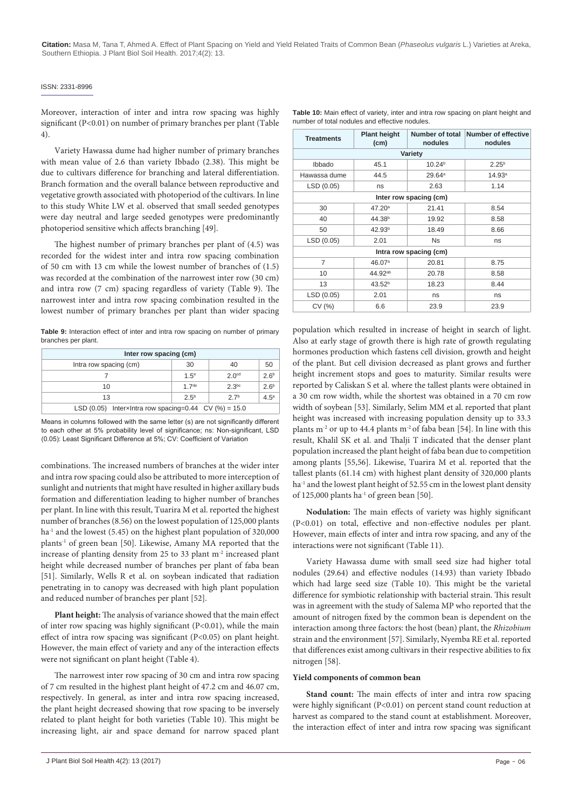#### ISSN: 2331-8996

Moreover, interaction of inter and intra row spacing was highly significant (P<0.01) on number of primary branches per plant (Table 4).

Variety Hawassa dume had higher number of primary branches with mean value of 2.6 than variety Ibbado (2.38). This might be due to cultivars difference for branching and lateral differentiation. Branch formation and the overall balance between reproductive and vegetative growth associated with photoperiod of the cultivars. In line to this study White LW et al. observed that small seeded genotypes were day neutral and large seeded genotypes were predominantly photoperiod sensitive which affects branching [49].

The highest number of primary branches per plant of (4.5) was recorded for the widest inter and intra row spacing combination of 50 cm with 13 cm while the lowest number of branches of (1.5) was recorded at the combination of the narrowest inter row (30 cm) and intra row (7 cm) spacing regardless of variety (Table 9). The narrowest inter and intra row spacing combination resulted in the lowest number of primary branches per plant than wider spacing

**Table 9:** Interaction effect of inter and intra row spacing on number of primary branches per plant.

| Inter row spacing (cm)                                 |                  |                   |                  |  |  |
|--------------------------------------------------------|------------------|-------------------|------------------|--|--|
| Intra row spacing (cm)                                 | 30               | 40                | 50               |  |  |
|                                                        | 1.5 <sup>e</sup> | 2.0 <sup>cd</sup> | 2.6 <sup>b</sup> |  |  |
| 10                                                     | 17 <sup>de</sup> | 2.3 <sup>bc</sup> | 2.6 <sup>b</sup> |  |  |
| $2.5^{b}$<br>4.5 <sup>a</sup><br>27 <sup>b</sup><br>13 |                  |                   |                  |  |  |
| LSD (0.05) InterxIntra row spacing=0.44 CV (%) = 15.0  |                  |                   |                  |  |  |

Means in columns followed with the same letter (s) are not significantly different to each other at 5% probability level of significance; ns: Non-significant, LSD (0.05): Least Significant Difference at 5%; CV: Coefficient of Variation

combinations. The increased numbers of branches at the wider inter and intra row spacing could also be attributed to more interception of sunlight and nutrients that might have resulted in higher axillary buds formation and differentiation leading to higher number of branches per plant. In line with this result, Tuarira M et al. reported the highest number of branches (8.56) on the lowest population of 125,000 plants  $ha<sup>-1</sup>$  and the lowest (5.45) on the highest plant population of 320,000 plants<sup>-1</sup> of green bean [50]. Likewise, Amany MA reported that the increase of planting density from 25 to 33 plant m-2 increased plant height while decreased number of branches per plant of faba bean [51]. Similarly, Wells R et al. on soybean indicated that radiation penetrating in to canopy was decreased with high plant population and reduced number of branches per plant [52].

**Plant height:** The analysis of variance showed that the main effect of inter row spacing was highly significant (P<0.01), while the main effect of intra row spacing was significant (P<0.05) on plant height. However, the main effect of variety and any of the interaction effects were not significant on plant height (Table 4).

The narrowest inter row spacing of 30 cm and intra row spacing of 7 cm resulted in the highest plant height of 47.2 cm and 46.07 cm, respectively. In general, as inter and intra row spacing increased, the plant height decreased showing that row spacing to be inversely related to plant height for both varieties (Table 10). This might be increasing light, air and space demand for narrow spaced plant

| <b>Table 10:</b> Main effect of variety, inter and intra row spacing on plant height and |  |
|------------------------------------------------------------------------------------------|--|
| number of total nodules and effective nodules.                                           |  |

| <b>Treatments</b>      | <b>Plant height</b><br>(cm) | nodules                | Number of total Number of effective<br>nodules |  |  |  |  |
|------------------------|-----------------------------|------------------------|------------------------------------------------|--|--|--|--|
| Variety                |                             |                        |                                                |  |  |  |  |
| Ibbado                 | 45.1                        | 10.24 <sup>b</sup>     | 2.25 <sup>b</sup>                              |  |  |  |  |
| Hawassa dume           | 44.5                        | $29.64^{\circ}$        | 14.93 <sup>a</sup>                             |  |  |  |  |
| LSD (0.05)             | ns                          | 2.63                   | 1.14                                           |  |  |  |  |
| Inter row spacing (cm) |                             |                        |                                                |  |  |  |  |
| 30                     | 47.20 <sup>a</sup>          | 21.41                  | 8.54                                           |  |  |  |  |
| 40                     | 44.38 <sup>b</sup>          | 19.92                  | 8.58                                           |  |  |  |  |
| 50                     | 42.93 <sup>b</sup>          | 18.49                  | 8.66                                           |  |  |  |  |
| LSD (0.05)             | 2.01                        | <b>Ns</b>              | ns                                             |  |  |  |  |
|                        |                             | Intra row spacing (cm) |                                                |  |  |  |  |
| 7                      | 46.07 <sup>a</sup>          | 20.81                  | 8.75                                           |  |  |  |  |
| 10                     | 44.92 <sup>ab</sup>         | 20.78                  | 8.58                                           |  |  |  |  |
| 13                     | 43.52 <sup>b</sup>          | 18.23                  | 8.44                                           |  |  |  |  |
| LSD (0.05)             | 2.01                        | ns                     | ns                                             |  |  |  |  |
| CV(%)                  | 6.6                         | 23.9                   | 23.9                                           |  |  |  |  |

population which resulted in increase of height in search of light. Also at early stage of growth there is high rate of growth regulating hormones production which fastens cell division, growth and height of the plant. But cell division decreased as plant grows and further height increment stops and goes to maturity. Similar results were reported by Caliskan S et al. where the tallest plants were obtained in a 30 cm row width, while the shortest was obtained in a 70 cm row width of soybean [53]. Similarly, Selim MM et al. reported that plant height was increased with increasing population density up to 33.3 plants m<sup>-2</sup> or up to 44.4 plants m<sup>-2</sup> of faba bean [54]. In line with this result, Khalil SK et al. and Thalji T indicated that the denser plant population increased the plant height of faba bean due to competition among plants [55,56]. Likewise, Tuarira M et al. reported that the tallest plants (61.14 cm) with highest plant density of 320,000 plants ha<sup>-1</sup> and the lowest plant height of 52.55 cm in the lowest plant density of 125,000 plants ha<sup>-1</sup> of green bean [50].

**Nodulation:** The main effects of variety was highly significant (P<0.01) on total, effective and non-effective nodules per plant. However, main effects of inter and intra row spacing, and any of the interactions were not significant (Table 11).

Variety Hawassa dume with small seed size had higher total nodules (29.64) and effective nodules (14.93) than variety Ibbado which had large seed size (Table 10). This might be the varietal difference for symbiotic relationship with bacterial strain. This result was in agreement with the study of Salema MP who reported that the amount of nitrogen fixed by the common bean is dependent on the interaction among three factors: the host (bean) plant, the *Rhizobium*  strain and the environment [57]. Similarly, Nyemba RE et al. reported that differences exist among cultivars in their respective abilities to fix nitrogen [58].

### **Yield components of common bean**

**Stand count:** The main effects of inter and intra row spacing were highly significant (P<0.01) on percent stand count reduction at harvest as compared to the stand count at establishment. Moreover, the interaction effect of inter and intra row spacing was significant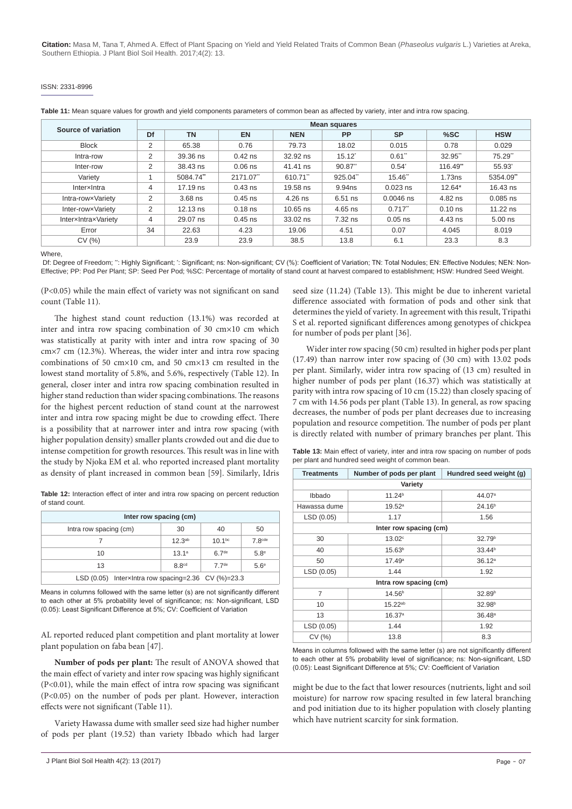#### ISSN: 2331-8996

| Table 11: Mean square values for growth and yield components parameters of common bean as affected by variety, inter and intra row spacing. |  |  |  |
|---------------------------------------------------------------------------------------------------------------------------------------------|--|--|--|
|---------------------------------------------------------------------------------------------------------------------------------------------|--|--|--|

| Source of variation | <b>Mean squares</b> |            |           |            |                 |                  |           |            |
|---------------------|---------------------|------------|-----------|------------|-----------------|------------------|-----------|------------|
|                     | Df                  | <b>TN</b>  | <b>EN</b> | <b>NEN</b> | <b>PP</b>       | <b>SP</b>        | %SC       | <b>HSW</b> |
| <b>Block</b>        | 2                   | 65.38      | 0.76      | 79.73      | 18.02           | 0.015            | 0.78      | 0.029      |
| Intra-row           | 2                   | 39.36 ns   | $0.42$ ns | 32.92 ns   | $15.12^{\circ}$ | 0.61"            | 32.95"    | 75.29"     |
| Inter-row           | 2                   | 38.43 ns   | $0.06$ ns | 41.41 ns   | $90.87$ "       | $0.54^{\degree}$ | 116.49"   | 55.93      |
| Variety             |                     | 5084.74*   | 2171.07"  | 610.71"    | 925.04"         | 15.46"           | 1.73ns    | 5354.09"   |
| Interxintra         | 4                   | 17.19 ns   | $0.43$ ns | 19.58 ns   | 9.94ns          | $0.023$ ns       | $12.64*$  | $16.43$ ns |
| Intra-rowxVariety   | 2                   | $3.68$ ns  | $0.45$ ns | $4.26$ ns  | $6.51$ ns       | $0.0046$ ns      | 4.82 ns   | $0.085$ ns |
| Inter-rowxVariety   | 2                   | $12.13$ ns | $0.18$ ns | $10.65$ ns | 4.65 ns         | $0.717$ "        | $0.10$ ns | $11.22$ ns |
| InterxIntraxVariety | $\overline{4}$      | 29.07 ns   | $0.45$ ns | $33.02$ ns | 7.32 ns         | $0.05$ ns        | 4.43 ns   | $5.00$ ns  |
| Error               | 34                  | 22.63      | 4.23      | 19.06      | 4.51            | 0.07             | 4.045     | 8.019      |
| CV(%)               |                     | 23.9       | 23.9      | 38.5       | 13.8            | 6.1              | 23.3      | 8.3        |

Where

Df: Degree of Freedom; ": Highly Significant; ": Significant; ns: Non-significant; CV (%): Coefficient of Variation; TN: Total Nodules; EN: Effective Nodules; NEN: Non-Effective; PP: Pod Per Plant; SP: Seed Per Pod; %SC: Percentage of mortality of stand count at harvest compared to establishment; HSW: Hundred Seed Weight.

(P<0.05) while the main effect of variety was not significant on sand count (Table 11).

The highest stand count reduction (13.1%) was recorded at inter and intra row spacing combination of 30 cm×10 cm which was statistically at parity with inter and intra row spacing of 30 cm×7 cm (12.3%). Whereas, the wider inter and intra row spacing combinations of 50 cm×10 cm, and 50 cm×13 cm resulted in the lowest stand mortality of 5.8%, and 5.6%, respectively (Table 12). In general, closer inter and intra row spacing combination resulted in higher stand reduction than wider spacing combinations. The reasons for the highest percent reduction of stand count at the narrowest inter and intra row spacing might be due to crowding effect. There is a possibility that at narrower inter and intra row spacing (with higher population density) smaller plants crowded out and die due to intense competition for growth resources. This result was in line with the study by Njoka EM et al. who reported increased plant mortality as density of plant increased in common bean [59]. Similarly, Idris

**Table 12:** Interaction effect of inter and intra row spacing on percent reduction of stand count.

| Inter row spacing (cm)                                     |                    |                   |                    |  |  |
|------------------------------------------------------------|--------------------|-------------------|--------------------|--|--|
| Intra row spacing (cm)                                     | 30                 | 40                | 50                 |  |  |
|                                                            | 12.3 <sup>ab</sup> | $10.1^{bc}$       | 7.8 <sup>cde</sup> |  |  |
| 10                                                         | 13.1 <sup>a</sup>  | 6.7 <sup>de</sup> | 5.8 <sup>e</sup>   |  |  |
| $5.6^\circ$<br>8.8 <sup>cd</sup><br>77 <sup>de</sup><br>13 |                    |                   |                    |  |  |
| LSD $(0.05)$ Interx Intra row spacing=2.36 CV $(\%)$ =23.3 |                    |                   |                    |  |  |

Means in columns followed with the same letter (s) are not significantly different to each other at 5% probability level of significance; ns: Non-significant, LSD (0.05): Least Significant Difference at 5%; CV: Coefficient of Variation

AL reported reduced plant competition and plant mortality at lower plant population on faba bean [47].

**Number of pods per plant:** The result of ANOVA showed that the main effect of variety and inter row spacing was highly significant (P<0.01), while the main effect of intra row spacing was significant (P<0.05) on the number of pods per plant. However, interaction effects were not significant (Table 11).

Variety Hawassa dume with smaller seed size had higher number of pods per plant (19.52) than variety Ibbado which had larger

seed size (11.24) (Table 13). This might be due to inherent varietal difference associated with formation of pods and other sink that determines the yield of variety. In agreement with this result, Tripathi S et al. reported significant differences among genotypes of chickpea for number of pods per plant [36].

Wider inter row spacing (50 cm) resulted in higher pods per plant (17.49) than narrow inter row spacing of (30 cm) with 13.02 pods per plant. Similarly, wider intra row spacing of (13 cm) resulted in higher number of pods per plant (16.37) which was statistically at parity with intra row spacing of 10 cm (15.22) than closely spacing of 7 cm with 14.56 pods per plant (Table 13). In general, as row spacing decreases, the number of pods per plant decreases due to increasing population and resource competition. The number of pods per plant is directly related with number of primary branches per plant. This

**Table 13:** Main effect of variety, inter and intra row spacing on number of pods per plant and hundred seed weight of common bean.

| <b>Treatments</b> | Number of pods per plant | Hundred seed weight (g) |  |  |  |  |
|-------------------|--------------------------|-------------------------|--|--|--|--|
| Variety           |                          |                         |  |  |  |  |
| Ibbado            | 11.24 <sup>b</sup>       | 44.07 <sup>a</sup>      |  |  |  |  |
| Hawassa dume      | $19.52^{\circ}$          | 24.16 <sup>b</sup>      |  |  |  |  |
| LSD (0.05)        | 1.17                     | 1.56                    |  |  |  |  |
|                   | Inter row spacing (cm)   |                         |  |  |  |  |
| 30                | 13.02 <sup>c</sup>       | 32.79 <sup>b</sup>      |  |  |  |  |
| 40                | $15.63^{b}$              | 33.44 <sup>b</sup>      |  |  |  |  |
| 50                | 17.49a                   | 36.12 <sup>a</sup>      |  |  |  |  |
| LSD (0.05)        | 1.44                     | 1.92                    |  |  |  |  |
|                   | Intra row spacing (cm)   |                         |  |  |  |  |
| 7                 | $14.56^{b}$              | 32.89 <sup>b</sup>      |  |  |  |  |
| 10                | $15.22^{ab}$             | 32.98 <sup>b</sup>      |  |  |  |  |
| 13                | 16.37a                   | 36.48 <sup>a</sup>      |  |  |  |  |
| LSD (0.05)        | 1.44                     | 1.92                    |  |  |  |  |
| CV(%)             | 13.8                     | 8.3                     |  |  |  |  |

Means in columns followed with the same letter (s) are not significantly different to each other at 5% probability level of significance; ns: Non-significant, LSD (0.05): Least Significant Difference at 5%; CV: Coefficient of Variation

might be due to the fact that lower resources (nutrients, light and soil moisture) for narrow row spacing resulted in few lateral branching and pod initiation due to its higher population with closely planting which have nutrient scarcity for sink formation.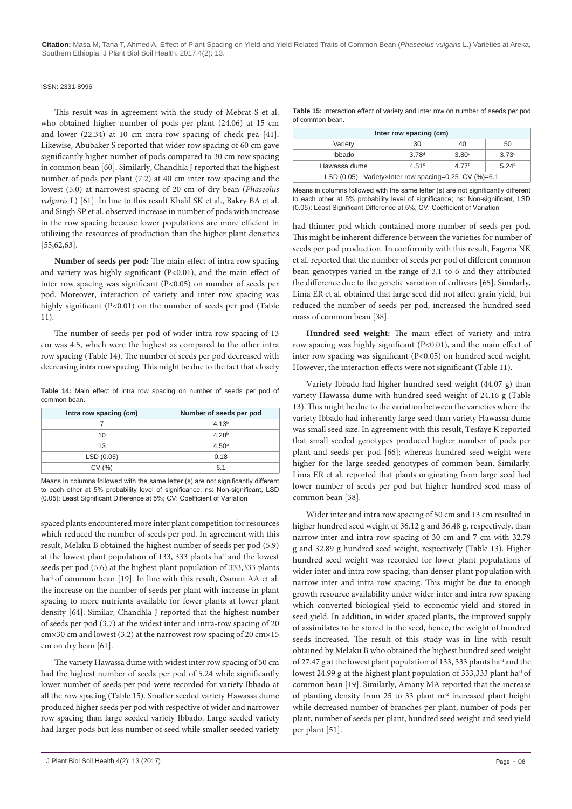#### ISSN: 2331-8996

This result was in agreement with the study of Mebrat S et al. who obtained higher number of pods per plant (24.06) at 15 cm and lower (22.34) at 10 cm intra-row spacing of check pea [41]. Likewise, Abubaker S reported that wider row spacing of 60 cm gave significantly higher number of pods compared to 30 cm row spacing in common bean [60]. Similarly, Chandhla J reported that the highest number of pods per plant (7.2) at 40 cm inter row spacing and the lowest (5.0) at narrowest spacing of 20 cm of dry bean (*Phaseolus vulgaris* L) [61]. In line to this result Khalil SK et al., Bakry BA et al. and Singh SP et al. observed increase in number of pods with increase in the row spacing because lower populations are more efficient in utilizing the resources of production than the higher plant densities [55,62,63].

**Number of seeds per pod:** The main effect of intra row spacing and variety was highly significant (P<0.01), and the main effect of inter row spacing was significant (P<0.05) on number of seeds per pod. Moreover, interaction of variety and inter row spacing was highly significant (P<0.01) on the number of seeds per pod (Table 11).

The number of seeds per pod of wider intra row spacing of 13 cm was 4.5, which were the highest as compared to the other intra row spacing (Table 14). The number of seeds per pod decreased with decreasing intra row spacing. This might be due to the fact that closely

**Table 14:** Main effect of intra row spacing on number of seeds per pod of common bean.

| Intra row spacing (cm) | Number of seeds per pod |  |
|------------------------|-------------------------|--|
|                        | 4.13 <sup>b</sup>       |  |
| 10                     | 4.28 <sup>b</sup>       |  |
| 13                     | 4.50 <sup>a</sup>       |  |
| LSD(0.05)              | 0.18                    |  |
| CV(%)                  | 6.1                     |  |

Means in columns followed with the same letter (s) are not significantly different to each other at 5% probability level of significance; ns: Non-significant, LSD (0.05): Least Significant Difference at 5%; CV: Coefficient of Variation

spaced plants encountered more inter plant competition for resources which reduced the number of seeds per pod. In agreement with this result, Melaku B obtained the highest number of seeds per pod (5.9) at the lowest plant population of 133, 333 plants ha-1 and the lowest seeds per pod (5.6) at the highest plant population of 333,333 plants ha<sup>-1</sup> of common bean [19]. In line with this result, Osman AA et al. the increase on the number of seeds per plant with increase in plant spacing to more nutrients available for fewer plants at lower plant density [64]. Similar, Chandhla J reported that the highest number of seeds per pod (3.7) at the widest inter and intra-row spacing of 20 cm×30 cm and lowest (3.2) at the narrowest row spacing of 20 cm×15 cm on dry bean [61].

The variety Hawassa dume with widest inter row spacing of 50 cm had the highest number of seeds per pod of 5.24 while significantly lower number of seeds per pod were recorded for variety Ibbado at all the row spacing (Table 15). Smaller seeded variety Hawassa dume produced higher seeds per pod with respective of wider and narrower row spacing than large seeded variety Ibbado. Large seeded variety had larger pods but less number of seed while smaller seeded variety **Table 15:** Interaction effect of variety and inter row on number of seeds per pod of common bean.

| Inter row spacing (cm)                                     |                   |                   |                   |  |  |  |
|------------------------------------------------------------|-------------------|-------------------|-------------------|--|--|--|
| Variety<br>50<br>30<br>40                                  |                   |                   |                   |  |  |  |
| Ibbado                                                     | 3.78 <sup>d</sup> | 3.80 <sup>d</sup> | 3.73 <sup>d</sup> |  |  |  |
| Hawassa dume<br>4 77 <sup>b</sup><br>5.24a<br>4.51c        |                   |                   |                   |  |  |  |
| LSD $(0.05)$ Varietyx Inter row spacing=0.25 CV $(\%)=6.1$ |                   |                   |                   |  |  |  |

Means in columns followed with the same letter (s) are not significantly different to each other at 5% probability level of significance; ns: Non-significant, LSD (0.05): Least Significant Difference at 5%; CV: Coefficient of Variation

had thinner pod which contained more number of seeds per pod. This might be inherent difference between the varieties for number of seeds per pod production. In conformity with this result, Fageria NK et al. reported that the number of seeds per pod of different common bean genotypes varied in the range of 3.1 to 6 and they attributed the difference due to the genetic variation of cultivars [65]. Similarly, Lima ER et al. obtained that large seed did not affect grain yield, but reduced the number of seeds per pod, increased the hundred seed mass of common bean [38].

**Hundred seed weight:** The main effect of variety and intra row spacing was highly significant (P<0.01), and the main effect of inter row spacing was significant (P<0.05) on hundred seed weight. However, the interaction effects were not significant (Table 11).

Variety Ibbado had higher hundred seed weight (44.07 g) than variety Hawassa dume with hundred seed weight of 24.16 g (Table 13). This might be due to the variation between the varieties where the variety Ibbado had inherently large seed than variety Hawassa dume was small seed size. In agreement with this result, Tesfaye K reported that small seeded genotypes produced higher number of pods per plant and seeds per pod [66]; whereas hundred seed weight were higher for the large seeded genotypes of common bean. Similarly, Lima ER et al. reported that plants originating from large seed had lower number of seeds per pod but higher hundred seed mass of common bean [38].

Wider inter and intra row spacing of 50 cm and 13 cm resulted in higher hundred seed weight of 36.12 g and 36.48 g, respectively, than narrow inter and intra row spacing of 30 cm and 7 cm with 32.79 g and 32.89 g hundred seed weight, respectively (Table 13). Higher hundred seed weight was recorded for lower plant populations of wider inter and intra row spacing, than denser plant population with narrow inter and intra row spacing. This might be due to enough growth resource availability under wider inter and intra row spacing which converted biological yield to economic yield and stored in seed yield. In addition, in wider spaced plants, the improved supply of assimilates to be stored in the seed, hence, the weight of hundred seeds increased. The result of this study was in line with result obtained by Melaku B who obtained the highest hundred seed weight of 27.47 g at the lowest plant population of 133, 333 plants ha-1 and the lowest 24.99 g at the highest plant population of 333,333 plant ha-1 of common bean [19]. Similarly, Amany MA reported that the increase of planting density from 25 to 33 plant m<sup>-2</sup> increased plant height while decreased number of branches per plant, number of pods per plant, number of seeds per plant, hundred seed weight and seed yield per plant [51].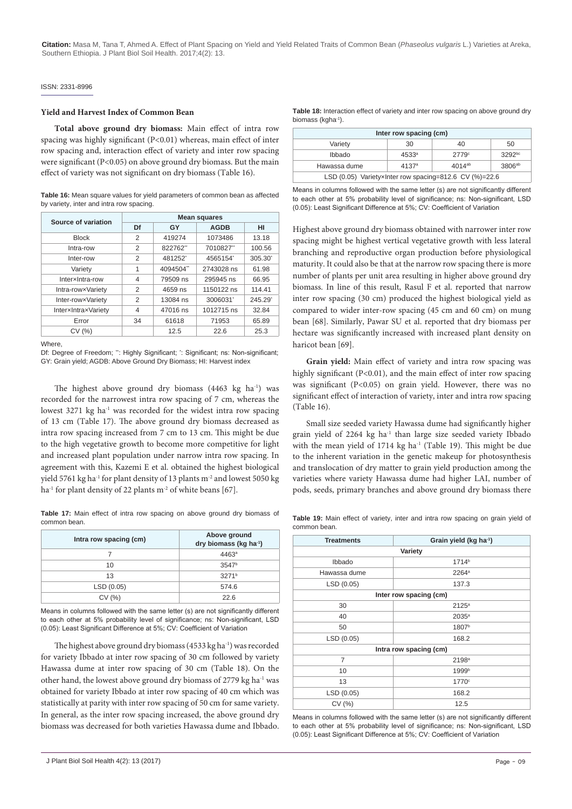#### ISSN: 2331-8996

#### **Yield and Harvest Index of Common Bean**

**Total above ground dry biomass:** Main effect of intra row spacing was highly significant (P<0.01) whereas, main effect of inter row spacing and, interaction effect of variety and inter row spacing were significant (P<0.05) on above ground dry biomass. But the main effect of variety was not significant on dry biomass (Table 16).

**Table 16:** Mean square values for yield parameters of common bean as affected by variety, inter and intra row spacing.

| Source of variation | <b>Mean squares</b> |          |             |                       |  |
|---------------------|---------------------|----------|-------------|-----------------------|--|
|                     | Df                  | GY       | <b>AGDB</b> | HI                    |  |
| <b>Block</b>        | 2                   | 419274   | 1073486     | 13.18                 |  |
| Intra-row           | 2                   | 822762   | 7010827"    | 100.56                |  |
| Inter-row           | 2                   | 481252   | 4565154     | $305.30$ <sup>*</sup> |  |
| Variety             | 1                   | 4094504  | 2743028 ns  | 61.98                 |  |
| InterxIntra-row     | 4                   | 79509 ns | 295945 ns   | 66.95                 |  |
| Intra-rowxVariety   | 2                   | 4659 ns  | 1150122 ns  | 114.41                |  |
| Inter-rowxVariety   | 2                   | 13084 ns | 3006031     | $245.29$ <sup>*</sup> |  |
| InterxIntraxVariety | 4                   | 47016 ns | 1012715 ns  | 32.84                 |  |
| Error               | 34                  | 61618    | 71953       | 65.89                 |  |
| CV(%)               |                     | 12.5     | 22.6        | 25.3                  |  |

Where,

Df: Degree of Freedom; ": Highly Significant; ': Significant; ns: Non-significant; GY: Grain yield; AGDB: Above Ground Dry Biomass; HI: Harvest index

The highest above ground dry biomass (4463 kg ha<sup>-1</sup>) was recorded for the narrowest intra row spacing of 7 cm, whereas the lowest 3271 kg ha<sup>-1</sup> was recorded for the widest intra row spacing of 13 cm (Table 17). The above ground dry biomass decreased as intra row spacing increased from 7 cm to 13 cm. This might be due to the high vegetative growth to become more competitive for light and increased plant population under narrow intra row spacing. In agreement with this, Kazemi E et al. obtained the highest biological yield 5761 kg ha<sup>-1</sup> for plant density of 13 plants m<sup>-2</sup> and lowest 5050 kg ha<sup>-1</sup> for plant density of 22 plants m<sup>-2</sup> of white beans [67].

Table 17: Main effect of intra row spacing on above ground dry biomass of common bean.

| Intra row spacing (cm) | Above ground<br>dry biomass (kg ha <sup>-1</sup> ) |  |
|------------------------|----------------------------------------------------|--|
|                        | 4463 <sup>a</sup>                                  |  |
| 10                     | 3547 <sup>b</sup>                                  |  |
| 13                     | 3271 <sup>b</sup>                                  |  |
| LSD (0.05)             | 574.6                                              |  |
| CV(%)                  | 22.6                                               |  |

Means in columns followed with the same letter (s) are not significantly different to each other at 5% probability level of significance; ns: Non-significant, LSD (0.05): Least Significant Difference at 5%; CV: Coefficient of Variation

The highest above ground dry biomass (4533 kg ha<sup>-1</sup>) was recorded for variety Ibbado at inter row spacing of 30 cm followed by variety Hawassa dume at inter row spacing of 30 cm (Table 18). On the other hand, the lowest above ground dry biomass of 2779 kg ha<sup>-1</sup> was obtained for variety Ibbado at inter row spacing of 40 cm which was statistically at parity with inter row spacing of 50 cm for same variety. In general, as the inter row spacing increased, the above ground dry biomass was decreased for both varieties Hawassa dume and Ibbado.

| Inter row spacing (cm)                                                 |    |    |    |  |  |  |
|------------------------------------------------------------------------|----|----|----|--|--|--|
| Variety                                                                | 30 | 40 | 50 |  |  |  |
| 3292bc<br>Ibbado<br>$4533^{\circ}$<br>2779°                            |    |    |    |  |  |  |
| Hawassa dume<br>3806 <sup>ab</sup><br>$4014^{ab}$<br>4137 <sup>a</sup> |    |    |    |  |  |  |
| LSD (0.05) VarietyxInter row spacing=812.6 CV (%)=22.6                 |    |    |    |  |  |  |

Means in columns followed with the same letter (s) are not significantly different to each other at 5% probability level of significance; ns: Non-significant, LSD (0.05): Least Significant Difference at 5%; CV: Coefficient of Variation

Highest above ground dry biomass obtained with narrower inter row spacing might be highest vertical vegetative growth with less lateral branching and reproductive organ production before physiological maturity. It could also be that at the narrow row spacing there is more number of plants per unit area resulting in higher above ground dry biomass. In line of this result, Rasul F et al. reported that narrow inter row spacing (30 cm) produced the highest biological yield as compared to wider inter-row spacing (45 cm and 60 cm) on mung bean [68]. Similarly, Pawar SU et al. reported that dry biomass per hectare was significantly increased with increased plant density on haricot bean [69].

**Grain yield:** Main effect of variety and intra row spacing was highly significant (P<0.01), and the main effect of inter row spacing was significant (P<0.05) on grain yield. However, there was no significant effect of interaction of variety, inter and intra row spacing (Table 16).

Small size seeded variety Hawassa dume had significantly higher grain yield of 2264 kg ha<sup>-1</sup> than large size seeded variety Ibbado with the mean yield of 1714 kg ha<sup>-1</sup> (Table 19). This might be due to the inherent variation in the genetic makeup for photosynthesis and translocation of dry matter to grain yield production among the varieties where variety Hawassa dume had higher LAI, number of pods, seeds, primary branches and above ground dry biomass there

**Table 19:** Main effect of variety, inter and intra row spacing on grain yield of common bean.

| <b>Treatments</b> | Grain yield (kg ha-1)  |  |  |  |  |
|-------------------|------------------------|--|--|--|--|
| Variety           |                        |  |  |  |  |
| Ibbado            | 1714 <sup>b</sup>      |  |  |  |  |
| Hawassa dume      | $2264^{\circ}$         |  |  |  |  |
| LSD(0.05)         | 137.3                  |  |  |  |  |
|                   | Inter row spacing (cm) |  |  |  |  |
| 30                | $2125^{\circ}$         |  |  |  |  |
| 40                | $2035^a$               |  |  |  |  |
| 50                | 1807 <sup>b</sup>      |  |  |  |  |
| LSD (0.05)        | 168.2                  |  |  |  |  |
|                   | Intra row spacing (cm) |  |  |  |  |
| 7                 | 2198 <sup>a</sup>      |  |  |  |  |
| 10                | 1999b                  |  |  |  |  |
| 13                | 1770 <sup>c</sup>      |  |  |  |  |
| LSD (0.05)        | 168.2                  |  |  |  |  |
| CV(%)             | 12.5                   |  |  |  |  |

Means in columns followed with the same letter (s) are not significantly different to each other at 5% probability level of significance; ns: Non-significant, LSD (0.05): Least Significant Difference at 5%; CV: Coefficient of Variation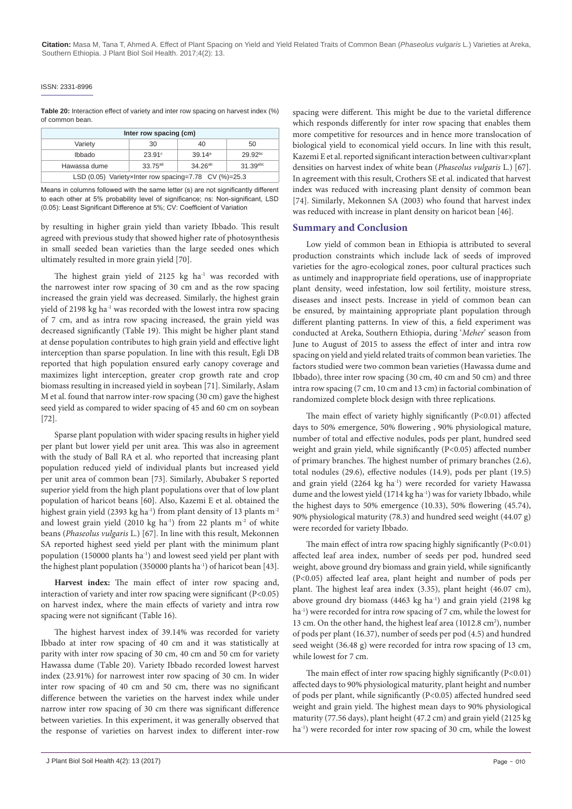#### ISSN: 2331-8996

**Table 20:** Interaction effect of variety and inter row spacing on harvest index (%) of common bean.

| Inter row spacing (cm)                                |            |                    |                     |  |  |  |
|-------------------------------------------------------|------------|--------------------|---------------------|--|--|--|
| Variety                                               | 30         | 40                 | 50                  |  |  |  |
| Ibbado                                                | 23.91°     | 39.14 <sup>a</sup> | 29.92 <sup>bc</sup> |  |  |  |
| Hawassa dume                                          | $33.75a$ b | $34.26^{ab}$       | $31.39$ abc         |  |  |  |
| LSD (0.05) VarietyxInter row spacing=7.78 CV (%)=25.3 |            |                    |                     |  |  |  |

Means in columns followed with the same letter (s) are not significantly different to each other at 5% probability level of significance; ns: Non-significant, LSD (0.05): Least Significant Difference at 5%; CV: Coefficient of Variation

by resulting in higher grain yield than variety Ibbado. This result agreed with previous study that showed higher rate of photosynthesis in small seeded bean varieties than the large seeded ones which ultimately resulted in more grain yield [70].

The highest grain yield of 2125 kg ha<sup>-1</sup> was recorded with the narrowest inter row spacing of 30 cm and as the row spacing increased the grain yield was decreased. Similarly, the highest grain yield of 2198 kg ha<sup>-1</sup> was recorded with the lowest intra row spacing of 7 cm, and as intra row spacing increased, the grain yield was decreased significantly (Table 19). This might be higher plant stand at dense population contributes to high grain yield and effective light interception than sparse population. In line with this result, Egli DB reported that high population ensured early canopy coverage and maximizes light interception, greater crop growth rate and crop biomass resulting in increased yield in soybean [71]. Similarly, Aslam M et al. found that narrow inter-row spacing (30 cm) gave the highest seed yield as compared to wider spacing of 45 and 60 cm on soybean [72].

Sparse plant population with wider spacing results in higher yield per plant but lower yield per unit area. This was also in agreement with the study of Ball RA et al. who reported that increasing plant population reduced yield of individual plants but increased yield per unit area of common bean [73]. Similarly, Abubaker S reported superior yield from the high plant populations over that of low plant population of haricot beans [60]. Also, Kazemi E et al. obtained the highest grain yield (2393 kg ha<sup>-1</sup>) from plant density of 13 plants m<sup>-2</sup> and lowest grain yield  $(2010 \text{ kg ha}^{-1})$  from 22 plants m<sup>-2</sup> of white beans (*Phaseolus vulgaris* L.) [67]. In line with this result, Mekonnen SA reported highest seed yield per plant with the minimum plant population (150000 plants ha-1) and lowest seed yield per plant with the highest plant population (350000 plants ha-1) of haricot bean [43].

**Harvest index:** The main effect of inter row spacing and, interaction of variety and inter row spacing were significant (P<0.05) on harvest index, where the main effects of variety and intra row spacing were not significant (Table 16).

The highest harvest index of 39.14% was recorded for variety Ibbado at inter row spacing of 40 cm and it was statistically at parity with inter row spacing of 30 cm, 40 cm and 50 cm for variety Hawassa dume (Table 20). Variety Ibbado recorded lowest harvest index (23.91%) for narrowest inter row spacing of 30 cm. In wider inter row spacing of 40 cm and 50 cm, there was no significant difference between the varieties on the harvest index while under narrow inter row spacing of 30 cm there was significant difference between varieties. In this experiment, it was generally observed that the response of varieties on harvest index to different inter-row

spacing were different. This might be due to the varietal difference which responds differently for inter row spacing that enables them more competitive for resources and in hence more translocation of biological yield to economical yield occurs. In line with this result, Kazemi E et al. reported significant interaction between cultivar×plant densities on harvest index of white bean (*Phaseolus vulgaris* L.) [67]. In agreement with this result, Crothers SE et al. indicated that harvest index was reduced with increasing plant density of common bean [74]. Similarly, Mekonnen SA (2003) who found that harvest index was reduced with increase in plant density on haricot bean [46].

#### **Summary and Conclusion**

Low yield of common bean in Ethiopia is attributed to several production constraints which include lack of seeds of improved varieties for the agro-ecological zones, poor cultural practices such as untimely and inappropriate field operations, use of inappropriate plant density, weed infestation, low soil fertility, moisture stress, diseases and insect pests. Increase in yield of common bean can be ensured, by maintaining appropriate plant population through different planting patterns. In view of this, a field experiment was conducted at Areka, Southern Ethiopia, during '*Meher*' season from June to August of 2015 to assess the effect of inter and intra row spacing on yield and yield related traits of common bean varieties. The factors studied were two common bean varieties (Hawassa dume and Ibbado), three inter row spacing (30 cm, 40 cm and 50 cm) and three intra row spacing (7 cm, 10 cm and 13 cm) in factorial combination of randomized complete block design with three replications.

The main effect of variety highly significantly  $(P<0.01)$  affected days to 50% emergence, 50% flowering , 90% physiological mature, number of total and effective nodules, pods per plant, hundred seed weight and grain yield, while significantly (P<0.05) affected number of primary branches. The highest number of primary branches (2.6), total nodules (29.6), effective nodules (14.9), pods per plant (19.5) and grain yield (2264 kg ha<sup>-1</sup>) were recorded for variety Hawassa dume and the lowest yield (1714 kg ha<sup>-1</sup>) was for variety Ibbado, while the highest days to 50% emergence (10.33), 50% flowering (45.74), 90% physiological maturity (78.3) and hundred seed weight (44.07 g) were recorded for variety Ibbado.

The main effect of intra row spacing highly significantly (P<0.01) affected leaf area index, number of seeds per pod, hundred seed weight, above ground dry biomass and grain yield, while significantly (P<0.05) affected leaf area, plant height and number of pods per plant. The highest leaf area index (3.35), plant height (46.07 cm), above ground dry biomass (4463 kg ha<sup>-1</sup>) and grain yield (2198 kg ha<sup>-1</sup>) were recorded for intra row spacing of 7 cm, while the lowest for 13 cm. On the other hand, the highest leaf area (1012.8 cm<sup>2</sup>), number of pods per plant (16.37), number of seeds per pod (4.5) and hundred seed weight (36.48 g) were recorded for intra row spacing of 13 cm, while lowest for 7 cm.

The main effect of inter row spacing highly significantly (P<0.01) affected days to 90% physiological maturity, plant height and number of pods per plant, while significantly (P<0.05) affected hundred seed weight and grain yield. The highest mean days to 90% physiological maturity (77.56 days), plant height (47.2 cm) and grain yield (2125 kg ha<sup>-1</sup>) were recorded for inter row spacing of 30 cm, while the lowest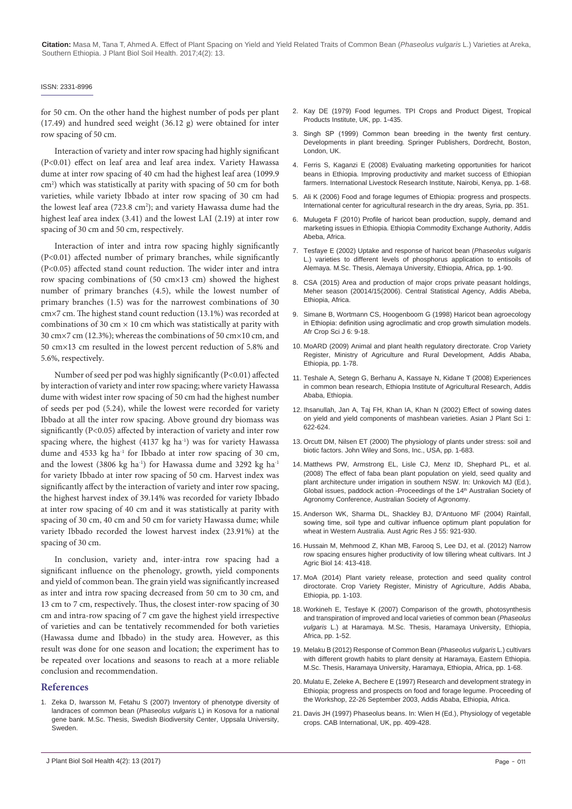#### ISSN: 2331-8996

for 50 cm. On the other hand the highest number of pods per plant (17.49) and hundred seed weight (36.12 g) were obtained for inter row spacing of 50 cm.

Interaction of variety and inter row spacing had highly significant (P<0.01) effect on leaf area and leaf area index. Variety Hawassa dume at inter row spacing of 40 cm had the highest leaf area (1099.9 cm<sup>2</sup>) which was statistically at parity with spacing of 50 cm for both varieties, while variety Ibbado at inter row spacing of 30 cm had the lowest leaf area (723.8 cm<sup>2</sup>); and variety Hawassa dume had the highest leaf area index (3.41) and the lowest LAI (2.19) at inter row spacing of 30 cm and 50 cm, respectively.

Interaction of inter and intra row spacing highly significantly (P<0.01) affected number of primary branches, while significantly (P<0.05) affected stand count reduction. The wider inter and intra row spacing combinations of (50 cm×13 cm) showed the highest number of primary branches (4.5), while the lowest number of primary branches (1.5) was for the narrowest combinations of 30 cm×7 cm. The highest stand count reduction (13.1%) was recorded at combinations of 30 cm  $\times$  10 cm which was statistically at parity with 30 cm×7 cm (12.3%); whereas the combinations of 50 cm×10 cm, and 50 cm×13 cm resulted in the lowest percent reduction of 5.8% and 5.6%, respectively.

Number of seed per pod was highly significantly (P<0.01) affected by interaction of variety and inter row spacing; where variety Hawassa dume with widest inter row spacing of 50 cm had the highest number of seeds per pod (5.24), while the lowest were recorded for variety Ibbado at all the inter row spacing. Above ground dry biomass was significantly (P<0.05) affected by interaction of variety and inter row spacing where, the highest  $(4137 \text{ kg ha}^{-1})$  was for variety Hawassa dume and 4533 kg ha<sup>-1</sup> for Ibbado at inter row spacing of 30 cm, and the lowest (3806 kg ha<sup>-1</sup>) for Hawassa dume and 3292 kg ha<sup>-1</sup> for variety Ibbado at inter row spacing of 50 cm. Harvest index was significantly affect by the interaction of variety and inter row spacing, the highest harvest index of 39.14% was recorded for variety Ibbado at inter row spacing of 40 cm and it was statistically at parity with spacing of 30 cm, 40 cm and 50 cm for variety Hawassa dume; while variety Ibbado recorded the lowest harvest index (23.91%) at the spacing of 30 cm.

In conclusion, variety and, inter-intra row spacing had a significant influence on the phenology, growth, yield components and yield of common bean. The grain yield was significantly increased as inter and intra row spacing decreased from 50 cm to 30 cm, and 13 cm to 7 cm, respectively. Thus, the closest inter-row spacing of 30 cm and intra-row spacing of 7 cm gave the highest yield irrespective of varieties and can be tentatively recommended for both varieties (Hawassa dume and Ibbado) in the study area. However, as this result was done for one season and location; the experiment has to be repeated over locations and seasons to reach at a more reliable conclusion and recommendation.

#### **References**

1. Zeka D, Iwarsson M, Fetahu S (2007) Inventory of phenotype diversity of landraces of common bean (*Phaseolus vulgaris* L) in Kosova for a national gene bank. M.Sc. Thesis, Swedish Biodiversity Center, Uppsala University, Sweden.

- 3. [Singh SP \(1999\) Common bean breeding in the twenty first century.](http://www.springer.com/in/book/9780792358879)  [Developments in plant breeding. Springer Publishers, Dordrecht, Boston,](http://www.springer.com/in/book/9780792358879)  [London, UK.](http://www.springer.com/in/book/9780792358879)
- 4. [Ferris S, Kaganzi E \(2008\) Evaluating marketing opportunities for haricot](http://agris.fao.org/agris-search/search.do;jsessionid=9F7B3202AAFB47663912626E9D7AE17B?request_locale=fr&recordID=QM2008000023&query=&sourceQuery=&sortField=&sortOrder=&agrovocString=&advQuery=¢erString=&enableField=)  [beans in Ethiopia. Improving productivity and market success of Ethiopian](http://agris.fao.org/agris-search/search.do;jsessionid=9F7B3202AAFB47663912626E9D7AE17B?request_locale=fr&recordID=QM2008000023&query=&sourceQuery=&sortField=&sortOrder=&agrovocString=&advQuery=¢erString=&enableField=)  [farmers. International Livestock Research Institute, Nairobi, Kenya, pp. 1-68.](http://agris.fao.org/agris-search/search.do;jsessionid=9F7B3202AAFB47663912626E9D7AE17B?request_locale=fr&recordID=QM2008000023&query=&sourceQuery=&sortField=&sortOrder=&agrovocString=&advQuery=¢erString=&enableField=)
- 5. [Ali K \(2006\) Food and forage legumes of Ethiopia: progress and prospects.](http://www.worldcat.org/title/food-and-forage-legumes-of-ethiopia-progress-and-prospects/oclc/243849885)  [International center for agricultural research in the dry areas, Syria, pp. 351.](http://www.worldcat.org/title/food-and-forage-legumes-of-ethiopia-progress-and-prospects/oclc/243849885)
- 6. Mulugeta F (2010) Profile of haricot bean production, supply, demand and marketing issues in Ethiopia. Ethiopia Commodity Exchange Authority, Addis Abeba, Africa.
- 7. Tesfaye E (2002) Uptake and response of haricot bean (*Phaseolus vulgaris* L.) varieties to different levels of phosphorus application to entisoils of Alemaya. M.Sc. Thesis, Alemaya University, Ethiopia, Africa, pp. 1-90.
- 8. CSA (2015) Area and production of major crops private peasant holdings, Meher season (20014/15(2006). Central Statistical Agency, Addis Abeba, Ethiopia, Africa.
- 9. [Simane B, Wortmann CS, Hoogenboom G \(1998\) Haricot bean agroecology](http://www.bioline.org.br/request?cs98002)  [in Ethiopia: definition using agroclimatic and crop growth simulation models.](http://www.bioline.org.br/request?cs98002)  [Afr Crop Sci J 6: 9-18.](http://www.bioline.org.br/request?cs98002)
- 10. MoARD (2009) Animal and plant health regulatory directorate. Crop Variety Register, Ministry of Agriculture and Rural Development, Addis Ababa, Ethiopia, pp. 1-78.
- 11. Teshale A, Setegn G, Berhanu A, Kassaye N, Kidane T (2008) Experiences in common bean research, Ethiopia Institute of Agricultural Research, Addis Ababa, Ethiopia.
- 12. [Ihsanullah, Jan A, Taj FH, Khan IA, Khan N \(2002\) Effect of sowing dates](http://docsdrive.com/pdfs/ansinet/ajps/2002/622-624.pdf)  [on yield and yield components of mashbean varieties. Asian J Plant Sci 1:](http://docsdrive.com/pdfs/ansinet/ajps/2002/622-624.pdf)  [622-624.](http://docsdrive.com/pdfs/ansinet/ajps/2002/622-624.pdf)
- 13. [Orcutt DM, Nilsen ET \(2000\) The physiology of plants under stress: soil and](https://books.google.co.in/books/about/The_Physiology_of_Plants_Under_Stress.html?id=zDIOVVEQEfcC&redir_esc=y)  [biotic factors. John Wiley and Sons, Inc., USA, pp. 1-683.](https://books.google.co.in/books/about/The_Physiology_of_Plants_Under_Stress.html?id=zDIOVVEQEfcC&redir_esc=y)
- 14. [Matthews PW, Armstrong EL, Lisle CJ, Menz ID, Shephard PL, et al.](https://www.dpi.nsw.gov.au/content/research/areas/biometric-services/outputs/2008/1582)  [\(2008\) The effect of faba bean plant population on yield, seed quality and](https://www.dpi.nsw.gov.au/content/research/areas/biometric-services/outputs/2008/1582)  [plant architecture under irrigation in southern NSW. In: Unkovich MJ \(Ed.\),](https://www.dpi.nsw.gov.au/content/research/areas/biometric-services/outputs/2008/1582)  Global issues, paddock action -Proceedings of the 14<sup>th</sup> Australian Society of [Agronomy Conference, Australian Society of Agronomy.](https://www.dpi.nsw.gov.au/content/research/areas/biometric-services/outputs/2008/1582)
- 15. [Anderson WK, Sharma DL, Shackley BJ, D'Antuono MF \(2004\) Rainfall,](http://agris.fao.org/agris-search/search.do?recordID=US201300956980)  [sowing time, soil type and cultivar influence optimum plant population for](http://agris.fao.org/agris-search/search.do?recordID=US201300956980)  [wheat in Western Australia. Aust Agric Res J 55: 921-930.](http://agris.fao.org/agris-search/search.do?recordID=US201300956980)
- 16. [Hussain M, Mehmood Z, Khan MB, Farooq S, Lee DJ, et al. \(2012\) Narrow](http://www.fspublishers.org/published_papers/55332_..pdf)  [row spacing ensures higher productivity of low tillering wheat cultivars. Int J](http://www.fspublishers.org/published_papers/55332_..pdf)  [Agric Biol 14: 413-418.](http://www.fspublishers.org/published_papers/55332_..pdf)
- 17. MoA (2014) Plant variety release, protection and seed quality control diroctorate. Crop Variety Register, Ministry of Agriculture, Addis Ababa, Ethiopia, pp. 1-103.
- 18. [Workineh E, Tesfaye K \(2007\) Comparison of the growth, photosynthesis](http://hulirs.haramaya.edu.et/handle/123456789/2408)  [and transpiration of improved and local varieties of common bean \(](http://hulirs.haramaya.edu.et/handle/123456789/2408)*Phaseolus vulgaris* [L.\) at Haramaya. M.Sc. Thesis, Haramaya University, Ethiopia,](http://hulirs.haramaya.edu.et/handle/123456789/2408)  [Africa, pp. 1-52.](http://hulirs.haramaya.edu.et/handle/123456789/2408)
- 19. [Melaku B \(2012\) Response of Common Bean \(](http://213.55.85.90/bitstream/handle/123456789/143/Beruktawit Melaku GDC.pdf?sequence=1&isAllowed=y)*Phaseolus vulgaris* L.) cultivars [with different growth habits to plant density at Haramaya, Eastern Ethiopia.](http://213.55.85.90/bitstream/handle/123456789/143/Beruktawit Melaku GDC.pdf?sequence=1&isAllowed=y)  [M.Sc. Thesis, Haramaya University, Haramaya, Ethiopia, Africa, pp. 1-68.](http://213.55.85.90/bitstream/handle/123456789/143/Beruktawit Melaku GDC.pdf?sequence=1&isAllowed=y)
- 20. Mulatu E, Zeleke A, Bechere E (1997) Research and development strategy in Ethiopia; progress and prospects on food and forage legume. Proceeding of the Workshop, 22-26 September 2003, Addis Ababa, Ethiopia, Africa.
- 21. [Davis JH \(1997\) Phaseolus beans. In: Wien H \(Ed.\), Physiology of vegetable](https://www.cabi.org/bookshop/book/9780851991467)  [crops. CAB International, UK, pp. 409-428.](https://www.cabi.org/bookshop/book/9780851991467)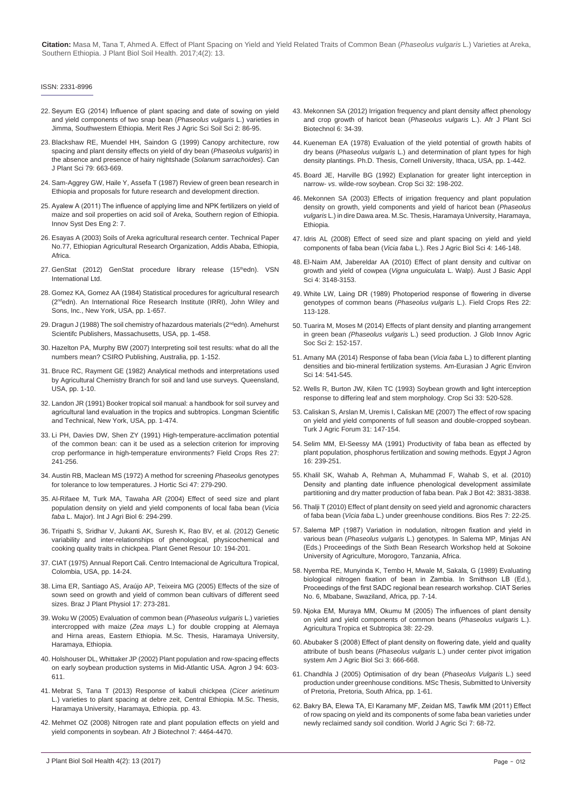#### ISSN: 2331-8996

- 22. [Seyum EG \(2014\) Influence of plant spacing and date of sowing on yield](http://www.meritresearchjournals.org/asss/Content/2014/July/Getachew.pdf)  [and yield components of two snap bean \(](http://www.meritresearchjournals.org/asss/Content/2014/July/Getachew.pdf)*Phaseolus vulgaris* L.) varieties in [Jimma, Southwestern Ethiopia. Merit Res J Agric Sci Soil Sci 2: 86-95.](http://www.meritresearchjournals.org/asss/Content/2014/July/Getachew.pdf)
- 23. [Blackshaw RE, Muendel HH, Saindon G \(1999\) Canopy architecture, row](http://www.nrcresearchpress.com/doi/abs/10.4141/P99-042#.WhfqetKWbIU)  [spacing and plant density effects on yield of dry bean \(](http://www.nrcresearchpress.com/doi/abs/10.4141/P99-042#.WhfqetKWbIU)*Phaseolus vulgaris*) in [the absence and presence of hairy nightshade \(](http://www.nrcresearchpress.com/doi/abs/10.4141/P99-042#.WhfqetKWbIU)*Solanum sarrachoides*). Can [J Plant Sci 79: 663-669.](http://www.nrcresearchpress.com/doi/abs/10.4141/P99-042#.WhfqetKWbIU)
- 24. [Sam-Aggrey GW, Haile Y, Assefa T \(1987\) Review of green bean research in](http://agris.fao.org/agris-search/search.do?recordID=ET8900009)  [Ethiopia and proposals for future research and development direction.](http://agris.fao.org/agris-search/search.do?recordID=ET8900009)
- 25. [Ayalew A \(2011\) The influence of applying lime and NPK fertilizers on yield of](http://www.iiste.org/Journals/index.php/ISDE/article/view/608/498)  [maize and soil properties on acid soil of Areka, Southern region of Ethiopia.](http://www.iiste.org/Journals/index.php/ISDE/article/view/608/498)  [Innov Syst Des Eng 2: 7.](http://www.iiste.org/Journals/index.php/ISDE/article/view/608/498)
- 26. Esayas A (2003) Soils of Areka agricultural research center. Technical Paper No.77, Ethiopian Agricultural Research Organization, Addis Ababa, Ethiopia, Africa.
- 27. GenStat (2012) GenStat procedure library release (15thedn). VSN International Ltd.
- 28. [Gomez KA, Gomez AA \(1984\) Statistical procedures for agricultural research](http://pdf.usaid.gov/pdf_docs/PNAAR208.pdf)  [\(2ndedn\). An International Rice Research Institute \(IRRI\), John Wiley and](http://pdf.usaid.gov/pdf_docs/PNAAR208.pdf)  [Sons, Inc., New York, USA, pp. 1-657.](http://pdf.usaid.gov/pdf_docs/PNAAR208.pdf)
- 29. Dragun J (1988) The soil chemistry of hazardous materials (2<sup>nd</sup>edn). Amehurst [Scientifc Publishers, Massachusetts, USA, pp. 1-458.](https://books.google.co.in/books/about/The_soil_chemistry_of_hazardous_material.html?id=jVvxAAAAMAAJ&redir_esc=y)
- 30. [Hazelton PA, Murphy BW \(2007\) Interpreting soil test results: what do all the](https://books.google.co.in/books/about/Interpreting_Soil_Test_Results.html?id=t1JF_WskHusC&redir_esc=y)  [numbers mean? CSIRO Publishing, Australia, pp. 1-152.](https://books.google.co.in/books/about/Interpreting_Soil_Test_Results.html?id=t1JF_WskHusC&redir_esc=y)
- 31. [Bruce RC, Rayment GE \(1982\) Analytical methods and interpretations used](http://www.worldcat.org/title/analytical-methods-and-interpretations-used-by-the-agricultural-chemistry-branch-for-soil-and-land-use-surveys/oclc/27554471)  [by Agricultural Chemistry Branch for soil and land use surveys. Queensland,](http://www.worldcat.org/title/analytical-methods-and-interpretations-used-by-the-agricultural-chemistry-branch-for-soil-and-land-use-surveys/oclc/27554471)  [USA, pp. 1-10.](http://www.worldcat.org/title/analytical-methods-and-interpretations-used-by-the-agricultural-chemistry-branch-for-soil-and-land-use-surveys/oclc/27554471)
- 32. [Landon JR \(1991\) Booker tropical soil manual: a handbook for soil survey and](https://www.abebooks.com/9780470217139/Booker-Tropical-Soil-Manual-Handbook-0470217138/plp?cm_sp=plped-_-2-_-image)  [agricultural land evaluation in the tropics and subtropics. Longman Scientific](https://www.abebooks.com/9780470217139/Booker-Tropical-Soil-Manual-Handbook-0470217138/plp?cm_sp=plped-_-2-_-image)  [and Technical, New York, USA, pp. 1-474.](https://www.abebooks.com/9780470217139/Booker-Tropical-Soil-Manual-Handbook-0470217138/plp?cm_sp=plped-_-2-_-image)
- 33. [Li PH, Davies DW, Shen ZY \(1991\) High-temperature-acclimation potential](http://www.sciencedirect.com/science/article/pii/0378429091900643)  [of the common bean: can it be used as a selection criterion for improving](http://www.sciencedirect.com/science/article/pii/0378429091900643)  [crop performance in high-temperature environments? Field Crops Res 27:](http://www.sciencedirect.com/science/article/pii/0378429091900643)  [241-256.](http://www.sciencedirect.com/science/article/pii/0378429091900643)
- 34. [Austin RB, Maclean MS \(1972\) A method for screening](http://www.tandfonline.com/doi/abs/10.1080/00221589.1972.11514469) *Phaseolus* genotypes [for tolerance to low temperatures. J Hortic Sci 47: 279-290.](http://www.tandfonline.com/doi/abs/10.1080/00221589.1972.11514469)
- 35. [Al-Rifaee M, Turk MA, Tawaha AR \(2004\) Effect of seed size and plant](http://agris.fao.org/agris-search/search.do?recordID=PK2004000877)  [population density on yield and yield components of local faba bean \(](http://agris.fao.org/agris-search/search.do?recordID=PK2004000877)*Vicia faba* [L. Major\). Int J Agri Biol 6: 294-299.](http://agris.fao.org/agris-search/search.do?recordID=PK2004000877)
- 36. [Tripathi S, Sridhar V, Jukanti AK, Suresh K, Rao BV, et al. \(2012\) Genetic](https://www.cambridge.org/core/journals/plant-genetic-resources/article/genetic-variability-and-interrelationships-of-phenological-physicochemical-and-cooking-quality-traits-in-chickpea/F4235551B56153B1066685A98093A0F7)  [variability and inter-relationships of phenological, physicochemical and](https://www.cambridge.org/core/journals/plant-genetic-resources/article/genetic-variability-and-interrelationships-of-phenological-physicochemical-and-cooking-quality-traits-in-chickpea/F4235551B56153B1066685A98093A0F7)  [cooking quality traits in chickpea. Plant Genet Resour 10: 194-201.](https://www.cambridge.org/core/journals/plant-genetic-resources/article/genetic-variability-and-interrelationships-of-phenological-physicochemical-and-cooking-quality-traits-in-chickpea/F4235551B56153B1066685A98093A0F7)
- 37. CIAT (1975) Annual Report Cali. Centro Intemacional de Agricultura Tropical, Colombia, USA, pp. 14-24.
- 38. [Lima ER, Santiago AS, Araújo AP, Teixeira MG \(2005\) Effects of the size of](http://www.scielo.br/scielo.php?script=sci_arttext&pid=S1677-04202005000300001)  [sown seed on growth and yield of common bean cultivars of different seed](http://www.scielo.br/scielo.php?script=sci_arttext&pid=S1677-04202005000300001)  [sizes. Braz J Plant Physiol 17: 273-281.](http://www.scielo.br/scielo.php?script=sci_arttext&pid=S1677-04202005000300001)
- 39. Woku W (2005) Evaluation of common bean (*Phaseolus vulgaris* L.) varieties intercropped with maize (*Zea mays* L.) for double cropping at Alemaya and Hirna areas, Eastern Ethiopia. M.Sc. Thesis, Haramaya University, Haramaya, Ethiopia.
- 40. [Holshouser DL, Whittaker JP \(2002\) Plant population and row-spacing effects](https://dl.sciencesocieties.org/publications/aj/abstracts/94/3/603)  [on early soybean production systems in Mid-Atlantic USA. Agron J 94: 603-](https://dl.sciencesocieties.org/publications/aj/abstracts/94/3/603) [611.](https://dl.sciencesocieties.org/publications/aj/abstracts/94/3/603)
- 41. [Mebrat S, Tana T \(2013\) Response of kabuli chickpea \(](http://213.55.85.90/handle/123456789/783)*Cicer arietinum* [L.\) varieties to plant spacing at debre zeit, Central Ethiopia. M.Sc. Thesis,](http://213.55.85.90/handle/123456789/783)  [Haramaya University, Haramaya, Ethiopia. pp. 43.](http://213.55.85.90/handle/123456789/783)
- 42. [Mehmet OZ \(2008\) Nitrogen rate and plant population effects on yield and](https://www.ajol.info/index.php/ajb/article/viewFile/59616/47906)  [yield components in soybean. Afr J Biotechnol 7: 4464-4470.](https://www.ajol.info/index.php/ajb/article/viewFile/59616/47906)
- 43. [Mekonnen SA \(2012\) Irrigation frequency and plant density affect phenology](http://www.academia.edu/25118404/Irrigation_Frequency_and_Plant_Density_Affect_Phenology_and_Crop_Growth_of_Haricot_Bean_Phaseolus_vulgaris_L)  [and crop growth of haricot bean \(](http://www.academia.edu/25118404/Irrigation_Frequency_and_Plant_Density_Affect_Phenology_and_Crop_Growth_of_Haricot_Bean_Phaseolus_vulgaris_L)*Phaseolus vulgaris* L.). Afr J Plant Sci [Biotechnol 6: 34-39.](http://www.academia.edu/25118404/Irrigation_Frequency_and_Plant_Density_Affect_Phenology_and_Crop_Growth_of_Haricot_Bean_Phaseolus_vulgaris_L)
- 44. [Kueneman EA \(1978\) Evaluation of the yield potential of growth habits of](https://books.google.co.in/books/about/Evaluation_of_the_Yield_Potential_of_Gro.html?id=sXFPAAAAYAAJ&redir_esc=y)  dry beans (*Phaseolus vulgaris* [L.\) and determination of plant types for high](https://books.google.co.in/books/about/Evaluation_of_the_Yield_Potential_of_Gro.html?id=sXFPAAAAYAAJ&redir_esc=y)  [density plantings. Ph.D. Thesis, Cornell University, Ithaca, USA, pp. 1-442.](https://books.google.co.in/books/about/Evaluation_of_the_Yield_Potential_of_Gro.html?id=sXFPAAAAYAAJ&redir_esc=y)
- 45. [Board JE, Harville BG \(1992\) Explanation for greater light interception in](http://agris.fao.org/agris-search/search.do?recordID=US19920091854)  narrow- *vs*[. wilde-row soybean. Crop Sci 32: 198-202.](http://agris.fao.org/agris-search/search.do?recordID=US19920091854)
- 46. Mekonnen SA (2003) Effects of irrigation frequency and plant population density on growth, yield components and yield of haricot bean (*Phaseolus vulgaris* L.) in dire Dawa area. M.Sc. Thesis, Haramaya University, Haramaya, Ethiopia.
- 47. [Idris AL \(2008\) Effect of seed size and plant spacing on yield and yield](http://www.aensiweb.net/AENSIWEB/rjabs/rjabs/2008/146-148.pdf)  components of faba bean (*Vicia faba* [L.\). Res J Agric Biol Sci 4: 146-148.](http://www.aensiweb.net/AENSIWEB/rjabs/rjabs/2008/146-148.pdf)
- 48. [El-Naim AM, Jabereldar AA \(2010\) Effect of plant density and cultivar on](http://www.academia.edu/2163626/Effect_of_Plant_density_and_Cultivar_on_Growth_and_Yield_of_Cowpea_Vigna_unguiculata_L._Walp_)  [growth and yield of cowpea \(](http://www.academia.edu/2163626/Effect_of_Plant_density_and_Cultivar_on_Growth_and_Yield_of_Cowpea_Vigna_unguiculata_L._Walp_)*Vigna unguiculata* L. Walp). Aust J Basic Appl [Sci 4: 3148-3153.](http://www.academia.edu/2163626/Effect_of_Plant_density_and_Cultivar_on_Growth_and_Yield_of_Cowpea_Vigna_unguiculata_L._Walp_)
- 49. [White LW, Laing DR \(1989\) Photoperiod response of flowering in diverse](http://www.sciencedirect.com/science/article/pii/0378429089900622)  [genotypes of common beans \(](http://www.sciencedirect.com/science/article/pii/0378429089900622)*Phaseolus vulgaris* L.). Field Crops Res 22: [113-128.](http://www.sciencedirect.com/science/article/pii/0378429089900622)
- 50. [Tuarira M, Moses M \(2014\) Effects of plant density and planting arrangement](http://jgiass.com/issue.php?id=5)  in green bean *(Phaseolus vulgaris* [L.\) seed production. J Glob Innov Agric](http://jgiass.com/issue.php?id=5)  [Soc Sci 2: 152-157.](http://jgiass.com/issue.php?id=5)
- 51. [Amany MA \(2014\) Response of faba bean \(](https://www.idosi.org/aejaes/jaes14(6)14/9.pdf)*Vicia faba* L.) to different planting [densities and bio-mineral fertilization systems. Am-Eurasian J Agric Environ](https://www.idosi.org/aejaes/jaes14(6)14/9.pdf)  [Sci 14: 541-545.](https://www.idosi.org/aejaes/jaes14(6)14/9.pdf)
- 52. [Wells R, Burton JW, Kilen TC \(1993\) Soybean growth and light interception](https://dl.sciencesocieties.org/publications/cs/abstracts/33/3/CS0330030520?access=0&view=pdf)  [response to differing leaf and stem morphology. Crop Sci 33: 520-528.](https://dl.sciencesocieties.org/publications/cs/abstracts/33/3/CS0330030520?access=0&view=pdf)
- 53. [Caliskan S, Arslan M, Uremis I, Caliskan ME \(2007\) The effect of row spacing](http://citeseerx.ist.psu.edu/viewdoc/download?doi=10.1.1.495.7593&rep=rep1&type=pdf)  [on yield and yield components of full season and double-cropped soybean.](http://citeseerx.ist.psu.edu/viewdoc/download?doi=10.1.1.495.7593&rep=rep1&type=pdf)  [Turk J Agric Forum 31: 147-154.](http://citeseerx.ist.psu.edu/viewdoc/download?doi=10.1.1.495.7593&rep=rep1&type=pdf)
- 54. Selim MM, El-Seessy MA (1991) Productivity of faba bean as effected by plant population, phosphorus fertilization and sowing methods. Egypt J Agron 16: 239-251.
- 55. [Khalil SK, Wahab A, Rehman A, Muhammad F, Wahab S, et al. \(2010\)](http://www.pakbs.org/pjbot/PDFs/42(6)/PJB42(6)3831.pdf)  [Density and planting date influence phenological development assimilate](http://www.pakbs.org/pjbot/PDFs/42(6)/PJB42(6)3831.pdf)  [partitioning and dry matter production of faba bean. Pak J Bot 42: 3831-3838.](http://www.pakbs.org/pjbot/PDFs/42(6)/PJB42(6)3831.pdf)
- 56. [Thalji T \(2010\) Effect of plant density on seed yield and agronomic characters](https://journals.indexcopernicus.com/search/article?articleId=1016510)  of faba bean (*Vicia faba* [L.\) under greenhouse conditions. Bios Res 7: 22-25.](https://journals.indexcopernicus.com/search/article?articleId=1016510)
- 57. Salema MP (1987) Variation in nodulation, nitrogen fixation and yield in various bean (*Phaseolus vulgaris* L.) genotypes. In Salema MP, Minjas AN (Eds.) Proceedings of the Sixth Bean Research Workshop held at Sokoine University of Agriculture, Morogoro, Tanzania, Africa.
- 58. Nyemba RE, Munyinda K, Tembo H, Mwale M, Sakala, G (1989) Evaluating biological nitrogen fixation of bean in Zambia. In Smithson LB (Ed.), Proceedings of the first SADC regional bean research workshop. CIAT Series No. 6, Mbabane, Swaziland, Africa, pp. 7-14.
- 59. [Njoka EM, Muraya MM, Okumu M \(2005\) The influences of plant density](http://projects.its.czu.cz/ats/pdf_files/vol_38_pdf/05-Njoka.pdf)  [on yield and yield components of common beans \(](http://projects.its.czu.cz/ats/pdf_files/vol_38_pdf/05-Njoka.pdf)*Phaseolus vulgaris* L.). [Agricultura Tropica et Subtropica 38: 22-29.](http://projects.its.czu.cz/ats/pdf_files/vol_38_pdf/05-Njoka.pdf)
- 60. [Abubaker S \(2008\) Effect of plant density on flowering date, yield and quality](http://agris.fao.org/agris-search/search.do?recordID=DJ2012079506)  attribute of bush beans (*Phaseolus vulgaris* [L.\) under center pivot irrigation](http://agris.fao.org/agris-search/search.do?recordID=DJ2012079506)  [system Am J Agric Biol Sci 3: 666-668.](http://agris.fao.org/agris-search/search.do?recordID=DJ2012079506)
- 61. [Chandhla J \(2005\) Optimisation of dry bean \(](https://repository.up.ac.za/handle/2263/29285)*Phaseolus Vulgaris* L.) seed [production under greenhouse conditions. MSc Thesis, Submitted to University](https://repository.up.ac.za/handle/2263/29285)  [of Pretoria, Pretoria, South Africa, pp. 1-61.](https://repository.up.ac.za/handle/2263/29285)
- 62. [Bakry BA, Elewa TA, El Karamany MF, Zeidan MS, Tawfik MM \(2011\) Effect](https://www.idosi.org/wjas/wjas7(1)/11.pdf)  [of row spacing on yield and its components of some faba bean varieties under](https://www.idosi.org/wjas/wjas7(1)/11.pdf)  [newly reclaimed sandy soil condition. World J Agric Sci 7: 68-72.](https://www.idosi.org/wjas/wjas7(1)/11.pdf)